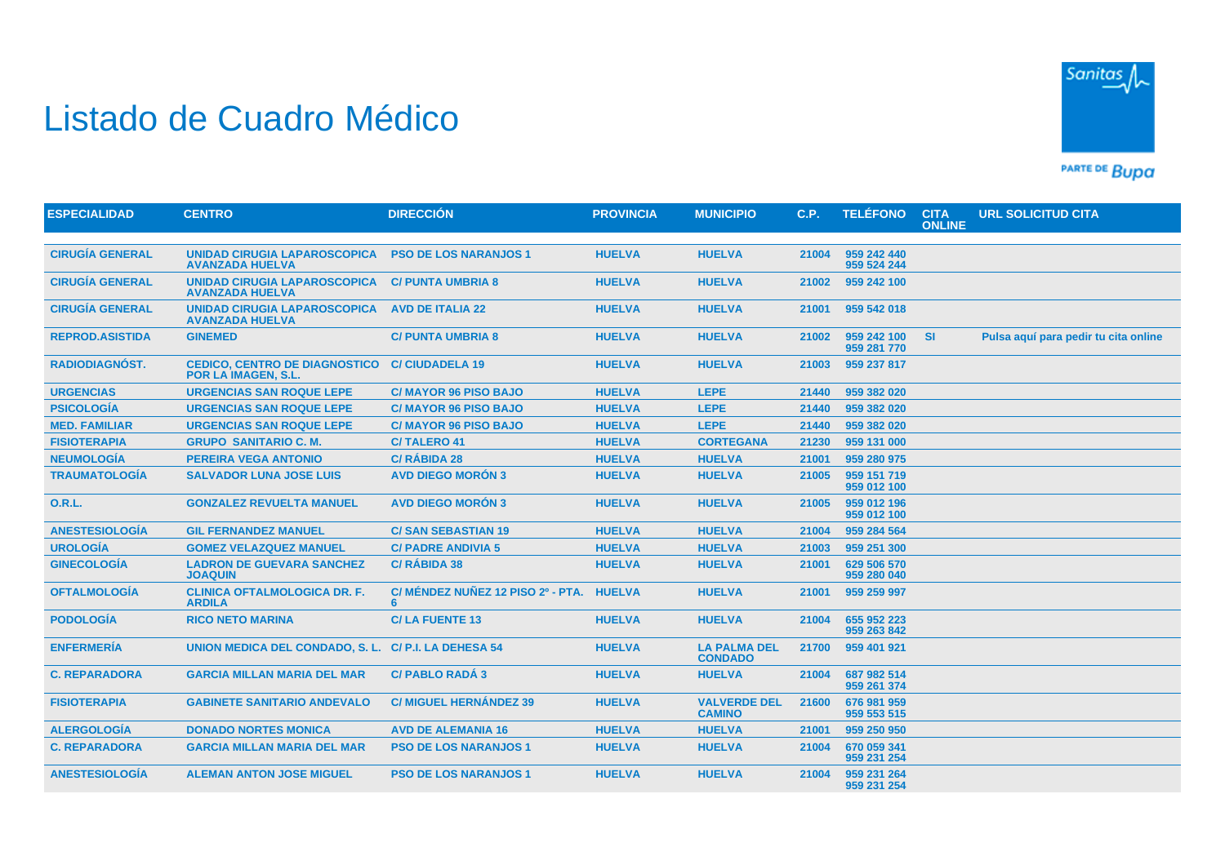## Listado de Cuadro Médico



PARTE DE BUDA

| <b>ESPECIALIDAD</b>    | <b>CENTRO</b>                                                      | <b>DIRECCIÓN</b>                       | <b>PROVINCIA</b> | <b>MUNICIPIO</b>                      | C.P.  | <b>TELÉFONO</b>            | <b>CITA</b><br><b>ONLINE</b> | <b>URL SOLICITUD CITA</b>            |
|------------------------|--------------------------------------------------------------------|----------------------------------------|------------------|---------------------------------------|-------|----------------------------|------------------------------|--------------------------------------|
|                        |                                                                    |                                        |                  |                                       |       |                            |                              |                                      |
| <b>CIRUGÍA GENERAL</b> | UNIDAD CIRUGIA LAPAROSCOPICA<br><b>AVANZADA HUELVA</b>             | <b>PSO DE LOS NARANJOS 1</b>           | <b>HUELVA</b>    | <b>HUELVA</b>                         | 21004 | 959 242 440<br>959 524 244 |                              |                                      |
| <b>CIRUGÍA GENERAL</b> | UNIDAD CIRUGIA LAPAROSCOPICA<br><b>AVANZADA HUELVA</b>             | <b>C/ PUNTA UMBRIA 8</b>               | <b>HUELVA</b>    | <b>HUELVA</b>                         | 21002 | 959 242 100                |                              |                                      |
| <b>CIRUGÍA GENERAL</b> | <b>UNIDAD CIRUGIA LAPAROSCOPICA</b><br><b>AVANZADA HUELVA</b>      | <b>AVD DE ITALIA 22</b>                | <b>HUELVA</b>    | <b>HUELVA</b>                         | 21001 | 959 542 018                |                              |                                      |
| <b>REPROD.ASISTIDA</b> | <b>GINEMED</b>                                                     | <b>C/PUNTA UMBRIA 8</b>                | <b>HUELVA</b>    | <b>HUELVA</b>                         | 21002 | 959 242 100<br>959 281 770 | <b>SI</b>                    | Pulsa aquí para pedir tu cita online |
| <b>RADIODIAGNÓST.</b>  | <b>CEDICO, CENTRO DE DIAGNOSTICO</b><br><b>POR LA IMAGEN, S.L.</b> | <b>C/CIUDADELA 19</b>                  | <b>HUELVA</b>    | <b>HUELVA</b>                         | 21003 | 959 237 817                |                              |                                      |
| <b>URGENCIAS</b>       | <b>URGENCIAS SAN ROQUE LEPE</b>                                    | <b>C/ MAYOR 96 PISO BAJO</b>           | <b>HUELVA</b>    | <b>LEPE</b>                           | 21440 | 959 382 020                |                              |                                      |
| <b>PSICOLOGÍA</b>      | <b>URGENCIAS SAN ROQUE LEPE</b>                                    | <b>C/MAYOR 96 PISO BAJO</b>            | <b>HUELVA</b>    | <b>LEPE</b>                           | 21440 | 959 382 020                |                              |                                      |
| <b>MED. FAMILIAR</b>   | <b>URGENCIAS SAN ROQUE LEPE</b>                                    | <b>C/MAYOR 96 PISO BAJO</b>            | <b>HUELVA</b>    | <b>LEPE</b>                           | 21440 | 959 382 020                |                              |                                      |
| <b>FISIOTERAPIA</b>    | <b>GRUPO SANITARIO C. M.</b>                                       | <b>C/TALERO 41</b>                     | <b>HUELVA</b>    | <b>CORTEGANA</b>                      | 21230 | 959 131 000                |                              |                                      |
| <b>NEUMOLOGÍA</b>      | <b>PEREIRA VEGA ANTONIO</b>                                        | <b>C/ RÁBIDA 28</b>                    | <b>HUELVA</b>    | <b>HUELVA</b>                         | 21001 | 959 280 975                |                              |                                      |
| <b>TRAUMATOLOGÍA</b>   | <b>SALVADOR LUNA JOSE LUIS</b>                                     | <b>AVD DIEGO MORÓN 3</b>               | <b>HUELVA</b>    | <b>HUELVA</b>                         | 21005 | 959 151 719<br>959 012 100 |                              |                                      |
| <b>O.R.L.</b>          | <b>GONZALEZ REVUELTA MANUEL</b>                                    | <b>AVD DIEGO MORÓN 3</b>               | <b>HUELVA</b>    | <b>HUELVA</b>                         | 21005 | 959 012 196<br>959 012 100 |                              |                                      |
| <b>ANESTESIOLOGÍA</b>  | <b>GIL FERNANDEZ MANUEL</b>                                        | <b>C/SAN SEBASTIAN 19</b>              | <b>HUELVA</b>    | <b>HUELVA</b>                         | 21004 | 959 284 564                |                              |                                      |
| <b>UROLOGÍA</b>        | <b>GOMEZ VELAZQUEZ MANUEL</b>                                      | <b>C/ PADRE ANDIVIA 5</b>              | <b>HUELVA</b>    | <b>HUELVA</b>                         | 21003 | 959 251 300                |                              |                                      |
| <b>GINECOLOGÍA</b>     | <b>LADRON DE GUEVARA SANCHEZ</b><br><b>JOAQUIN</b>                 | <b>C/ RÁBIDA 38</b>                    | <b>HUELVA</b>    | <b>HUELVA</b>                         | 21001 | 629 506 570<br>959 280 040 |                              |                                      |
| <b>OFTALMOLOGÍA</b>    | <b>CLINICA OFTALMOLOGICA DR. F.</b><br><b>ARDILA</b>               | C/ MÉNDEZ NUÑEZ 12 PISO 2º - PTA.<br>6 | <b>HUELVA</b>    | <b>HUELVA</b>                         | 21001 | 959 259 997                |                              |                                      |
| <b>PODOLOGÍA</b>       | <b>RICO NETO MARINA</b>                                            | <b>C/LA FUENTE 13</b>                  | <b>HUELVA</b>    | <b>HUELVA</b>                         | 21004 | 655 952 223<br>959 263 842 |                              |                                      |
| <b>ENFERMERÍA</b>      | <b>UNION MEDICA DEL CONDADO, S. L.</b>                             | C/P.I. LA DEHESA 54                    | <b>HUELVA</b>    | <b>LA PALMA DEL</b><br><b>CONDADO</b> | 21700 | 959 401 921                |                              |                                      |
| <b>C. REPARADORA</b>   | <b>GARCIA MILLAN MARIA DEL MAR</b>                                 | <b>C/ PABLO RADÁ 3</b>                 | <b>HUELVA</b>    | <b>HUELVA</b>                         | 21004 | 687 982 514<br>959 261 374 |                              |                                      |
| <b>FISIOTERAPIA</b>    | <b>GABINETE SANITARIO ANDEVALO</b>                                 | <b>C/MIGUEL HERNÁNDEZ 39</b>           | <b>HUELVA</b>    | <b>VALVERDE DEL</b><br><b>CAMINO</b>  | 21600 | 676 981 959<br>959 553 515 |                              |                                      |
| <b>ALERGOLOGÍA</b>     | <b>DONADO NORTES MONICA</b>                                        | <b>AVD DE ALEMANIA 16</b>              | <b>HUELVA</b>    | <b>HUELVA</b>                         | 21001 | 959 250 950                |                              |                                      |
| <b>C. REPARADORA</b>   | <b>GARCIA MILLAN MARIA DEL MAR</b>                                 | <b>PSO DE LOS NARANJOS 1</b>           | <b>HUELVA</b>    | <b>HUELVA</b>                         | 21004 | 670 059 341<br>959 231 254 |                              |                                      |
| <b>ANESTESIOLOGIA</b>  | <b>ALEMAN ANTON JOSE MIGUEL</b>                                    | <b>PSO DE LOS NARANJOS 1</b>           | <b>HUELVA</b>    | <b>HUELVA</b>                         | 21004 | 959 231 264<br>959 231 254 |                              |                                      |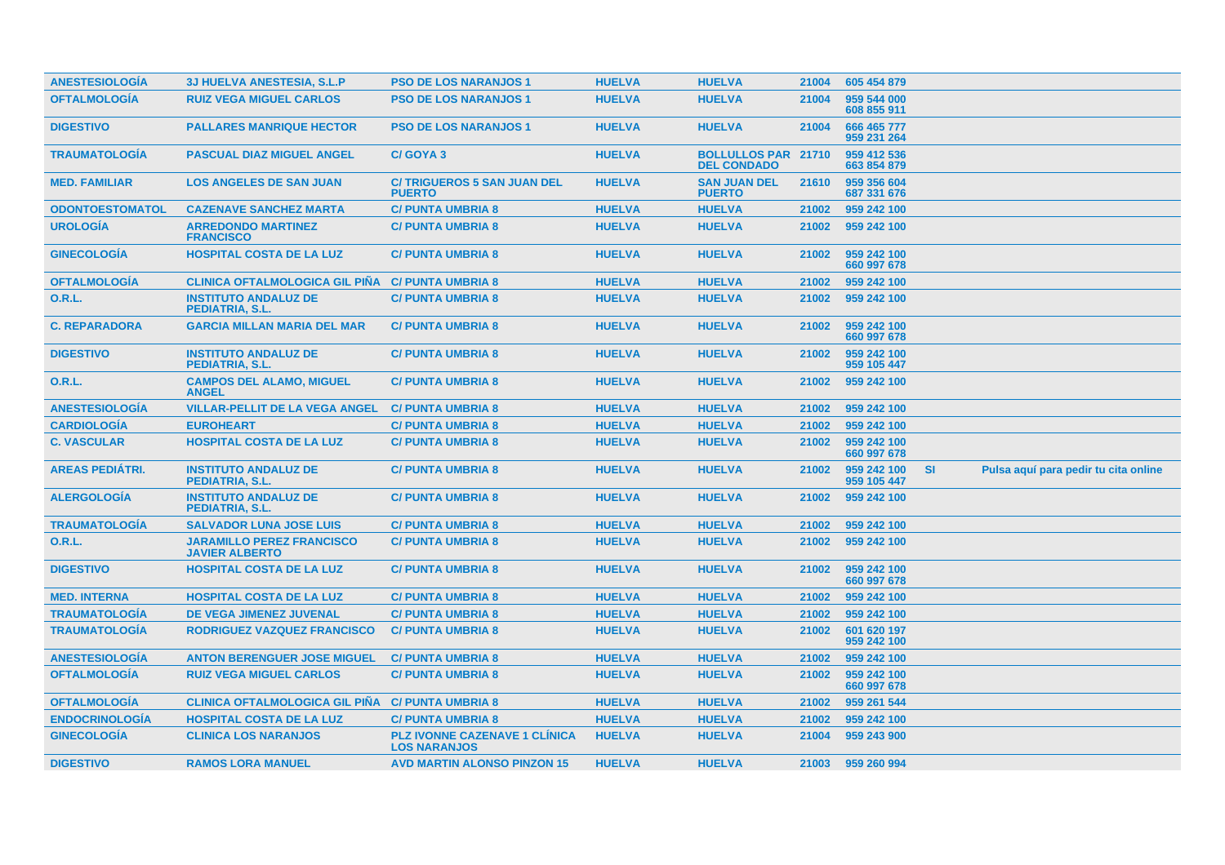| <b>ANESTESIOLOGIA</b>  | <b>3J HUELVA ANESTESIA, S.L.P</b>                         | <b>PSO DE LOS NARANJOS 1</b>                                | <b>HUELVA</b> | <b>HUELVA</b>                                    | 21004 | 605 454 879                |           |                                      |  |
|------------------------|-----------------------------------------------------------|-------------------------------------------------------------|---------------|--------------------------------------------------|-------|----------------------------|-----------|--------------------------------------|--|
| <b>OFTALMOLOGÍA</b>    | <b>RUIZ VEGA MIGUEL CARLOS</b>                            | <b>PSO DE LOS NARANJOS 1</b>                                | <b>HUELVA</b> | <b>HUELVA</b>                                    | 21004 | 959 544 000<br>608 855 911 |           |                                      |  |
| <b>DIGESTIVO</b>       | <b>PALLARES MANRIQUE HECTOR</b>                           | <b>PSO DE LOS NARANJOS 1</b>                                | <b>HUELVA</b> | <b>HUELVA</b>                                    | 21004 | 666 465 777<br>959 231 264 |           |                                      |  |
| <b>TRAUMATOLOGÍA</b>   | <b>PASCUAL DIAZ MIGUEL ANGEL</b>                          | C/GOYA 3                                                    | <b>HUELVA</b> | <b>BOLLULLOS PAR 21710</b><br><b>DEL CONDADO</b> |       | 959 412 536<br>663 854 879 |           |                                      |  |
| <b>MED. FAMILIAR</b>   | <b>LOS ANGELES DE SAN JUAN</b>                            | <b>C/TRIGUEROS 5 SAN JUAN DEL</b><br><b>PUERTO</b>          | <b>HUELVA</b> | <b>SAN JUAN DEL</b><br><b>PUERTO</b>             | 21610 | 959 356 604<br>687 331 676 |           |                                      |  |
| <b>ODONTOESTOMATOL</b> | <b>CAZENAVE SANCHEZ MARTA</b>                             | <b>C/ PUNTA UMBRIA 8</b>                                    | <b>HUELVA</b> | <b>HUELVA</b>                                    | 21002 | 959 242 100                |           |                                      |  |
| <b>UROLOGÍA</b>        | <b>ARREDONDO MARTINEZ</b><br><b>FRANCISCO</b>             | <b>C/ PUNTA UMBRIA 8</b>                                    | <b>HUELVA</b> | <b>HUELVA</b>                                    | 21002 | 959 242 100                |           |                                      |  |
| <b>GINECOLOGIA</b>     | <b>HOSPITAL COSTA DE LA LUZ</b>                           | <b>C/ PUNTA UMBRIA 8</b>                                    | <b>HUELVA</b> | <b>HUELVA</b>                                    | 21002 | 959 242 100<br>660 997 678 |           |                                      |  |
| <b>OFTALMOLOGÍA</b>    | <b>CLINICA OFTALMOLOGICA GIL PIÑA</b>                     | <b>C/ PUNTA UMBRIA 8</b>                                    | <b>HUELVA</b> | <b>HUELVA</b>                                    | 21002 | 959 242 100                |           |                                      |  |
| 0.R.L.                 | <b>INSTITUTO ANDALUZ DE</b><br>PEDIATRIA, S.L.            | <b>C/PUNTA UMBRIA 8</b>                                     | <b>HUELVA</b> | <b>HUELVA</b>                                    | 21002 | 959 242 100                |           |                                      |  |
| <b>C. REPARADORA</b>   | <b>GARCIA MILLAN MARIA DEL MAR</b>                        | <b>C/ PUNTA UMBRIA 8</b>                                    | <b>HUELVA</b> | <b>HUELVA</b>                                    | 21002 | 959 242 100<br>660 997 678 |           |                                      |  |
| <b>DIGESTIVO</b>       | <b>INSTITUTO ANDALUZ DE</b><br>PEDIATRIA, S.L.            | <b>C/PUNTA UMBRIA 8</b>                                     | <b>HUELVA</b> | <b>HUELVA</b>                                    | 21002 | 959 242 100<br>959 105 447 |           |                                      |  |
| <b>O.R.L.</b>          | <b>CAMPOS DEL ALAMO, MIGUEL</b><br><b>ANGEL</b>           | <b>C/ PUNTA UMBRIA 8</b>                                    | <b>HUELVA</b> | <b>HUELVA</b>                                    | 21002 | 959 242 100                |           |                                      |  |
| <b>ANESTESIOLOGÍA</b>  | <b>VILLAR-PELLIT DE LA VEGA ANGEL</b>                     | <b>C/ PUNTA UMBRIA 8</b>                                    | <b>HUELVA</b> | <b>HUELVA</b>                                    | 21002 | 959 242 100                |           |                                      |  |
| <b>CARDIOLOGIA</b>     | <b>EUROHEART</b>                                          | <b>C/PUNTA UMBRIA 8</b>                                     | <b>HUELVA</b> | <b>HUELVA</b>                                    | 21002 | 959 242 100                |           |                                      |  |
| <b>C. VASCULAR</b>     | <b>HOSPITAL COSTA DE LA LUZ</b>                           | <b>C/ PUNTA UMBRIA 8</b>                                    | <b>HUELVA</b> | <b>HUELVA</b>                                    | 21002 | 959 242 100<br>660 997 678 |           |                                      |  |
| <b>AREAS PEDIÁTRI.</b> | <b>INSTITUTO ANDALUZ DE</b><br>PEDIATRIA, S.L.            | <b>C/ PUNTA UMBRIA 8</b>                                    | <b>HUELVA</b> | <b>HUELVA</b>                                    | 21002 | 959 242 100<br>959 105 447 | <b>SI</b> | Pulsa aquí para pedir tu cita online |  |
| <b>ALERGOLOGÍA</b>     | <b>INSTITUTO ANDALUZ DE</b><br>PEDIATRIA, S.L.            | <b>C/PUNTA UMBRIA 8</b>                                     | <b>HUELVA</b> | <b>HUELVA</b>                                    | 21002 | 959 242 100                |           |                                      |  |
| <b>TRAUMATOLOGÍA</b>   | <b>SALVADOR LUNA JOSE LUIS</b>                            | <b>C/ PUNTA UMBRIA 8</b>                                    | <b>HUELVA</b> | <b>HUELVA</b>                                    | 21002 | 959 242 100                |           |                                      |  |
| <b>O.R.L.</b>          | <b>JARAMILLO PEREZ FRANCISCO</b><br><b>JAVIER ALBERTO</b> | <b>C/PUNTA UMBRIA 8</b>                                     | <b>HUELVA</b> | <b>HUELVA</b>                                    | 21002 | 959 242 100                |           |                                      |  |
| <b>DIGESTIVO</b>       | <b>HOSPITAL COSTA DE LA LUZ</b>                           | <b>C/ PUNTA UMBRIA 8</b>                                    | <b>HUELVA</b> | <b>HUELVA</b>                                    | 21002 | 959 242 100<br>660 997 678 |           |                                      |  |
| <b>MED. INTERNA</b>    | <b>HOSPITAL COSTA DE LA LUZ</b>                           | <b>C/ PUNTA UMBRIA 8</b>                                    | <b>HUELVA</b> | <b>HUELVA</b>                                    | 21002 | 959 242 100                |           |                                      |  |
| <b>TRAUMATOLOGÍA</b>   | DE VEGA JIMENEZ JUVENAL                                   | <b>C/ PUNTA UMBRIA 8</b>                                    | <b>HUELVA</b> | <b>HUELVA</b>                                    | 21002 | 959 242 100                |           |                                      |  |
| <b>TRAUMATOLOGÍA</b>   | RODRIGUEZ VAZQUEZ FRANCISCO                               | <b>C/ PUNTA UMBRIA 8</b>                                    | <b>HUELVA</b> | <b>HUELVA</b>                                    | 21002 | 601 620 197<br>959 242 100 |           |                                      |  |
| <b>ANESTESIOLOGIA</b>  | <b>ANTON BERENGUER JOSE MIGUEL</b>                        | <b>C/ PUNTA UMBRIA 8</b>                                    | <b>HUELVA</b> | <b>HUELVA</b>                                    | 21002 | 959 242 100                |           |                                      |  |
| <b>OFTALMOLOGIA</b>    | <b>RUIZ VEGA MIGUEL CARLOS</b>                            | <b>C/ PUNTA UMBRIA 8</b>                                    | <b>HUELVA</b> | <b>HUELVA</b>                                    | 21002 | 959 242 100<br>660 997 678 |           |                                      |  |
| <b>OFTALMOLOGÍA</b>    | <b>CLINICA OFTALMOLOGICA GIL PINA C/ PUNTA UMBRIA 8</b>   |                                                             | <b>HUELVA</b> | <b>HUELVA</b>                                    | 21002 | 959 261 544                |           |                                      |  |
| <b>ENDOCRINOLOGÍA</b>  | <b>HOSPITAL COSTA DE LA LUZ</b>                           | <b>C/ PUNTA UMBRIA 8</b>                                    | <b>HUELVA</b> | <b>HUELVA</b>                                    | 21002 | 959 242 100                |           |                                      |  |
| <b>GINECOLOGIA</b>     | <b>CLINICA LOS NARANJOS</b>                               | <b>PLZ IVONNE CAZENAVE 1 CLINICA</b><br><b>LOS NARANJOS</b> | <b>HUELVA</b> | <b>HUELVA</b>                                    | 21004 | 959 243 900                |           |                                      |  |
| <b>DIGESTIVO</b>       | <b>RAMOS LORA MANUEL</b>                                  | <b>AVD MARTIN ALONSO PINZON 15</b>                          | <b>HUELVA</b> | <b>HUELVA</b>                                    |       | 21003 959 260 994          |           |                                      |  |
|                        |                                                           |                                                             |               |                                                  |       |                            |           |                                      |  |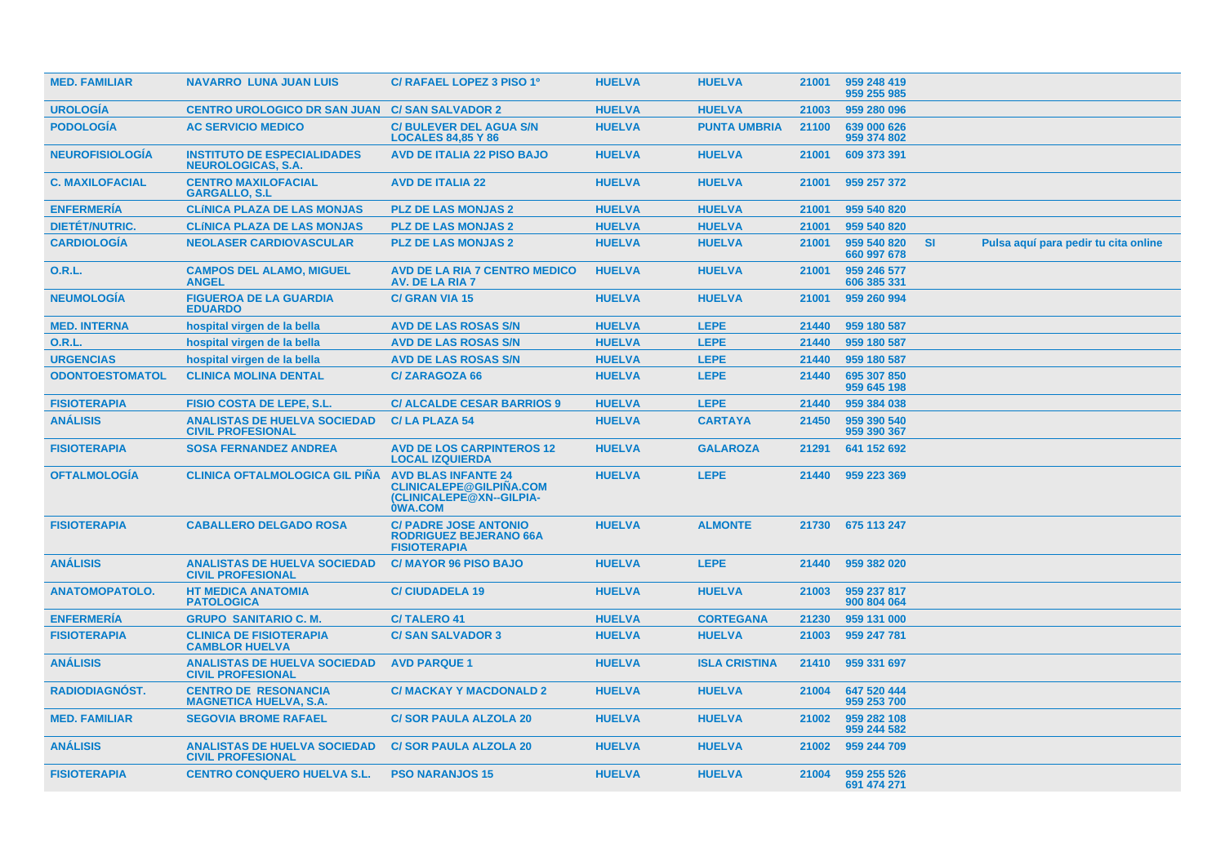| <b>MED. FAMILIAR</b>   | <b>NAVARRO LUNA JUAN LUIS</b>                                   | C/ RAFAEL LOPEZ 3 PISO 1º                                                                                  | <b>HUELVA</b> | <b>HUELVA</b>        | 21001 | 959 248 419<br>959 255 985 |           |                                      |  |
|------------------------|-----------------------------------------------------------------|------------------------------------------------------------------------------------------------------------|---------------|----------------------|-------|----------------------------|-----------|--------------------------------------|--|
| <b>UROLOGÍA</b>        | CENTRO UROLOGICO DR SAN JUAN C/ SAN SALVADOR 2                  |                                                                                                            | <b>HUELVA</b> | <b>HUELVA</b>        | 21003 | 959 280 096                |           |                                      |  |
| <b>PODOLOGÍA</b>       | <b>AC SERVICIO MEDICO</b>                                       | <b>C/BULEVER DEL AGUA S/N</b><br><b>LOCALES 84,85 Y 86</b>                                                 | <b>HUELVA</b> | <b>PUNTA UMBRIA</b>  | 21100 | 639 000 626<br>959 374 802 |           |                                      |  |
| <b>NEUROFISIOLOGIA</b> | <b>INSTITUTO DE ESPECIALIDADES</b><br><b>NEUROLOGICAS, S.A.</b> | <b>AVD DE ITALIA 22 PISO BAJO</b>                                                                          | <b>HUELVA</b> | <b>HUELVA</b>        | 21001 | 609 373 391                |           |                                      |  |
| <b>C. MAXILOFACIAL</b> | <b>CENTRO MAXILOFACIAL</b><br><b>GARGALLO, S.L</b>              | <b>AVD DE ITALIA 22</b>                                                                                    | <b>HUELVA</b> | <b>HUELVA</b>        | 21001 | 959 257 372                |           |                                      |  |
| <b>ENFERMERÍA</b>      | <b>CLÍNICA PLAZA DE LAS MONJAS</b>                              | <b>PLZ DE LAS MONJAS 2</b>                                                                                 | <b>HUELVA</b> | <b>HUELVA</b>        | 21001 | 959 540 820                |           |                                      |  |
| <b>DIETET/NUTRIC.</b>  | <b>CLÍNICA PLAZA DE LAS MONJAS</b>                              | <b>PLZ DE LAS MONJAS 2</b>                                                                                 | <b>HUELVA</b> | <b>HUELVA</b>        | 21001 | 959 540 820                |           |                                      |  |
| <b>CARDIOLOGÍA</b>     | <b>NEOLASER CARDIOVASCULAR</b>                                  | <b>PLZ DE LAS MONJAS 2</b>                                                                                 | <b>HUELVA</b> | <b>HUELVA</b>        | 21001 | 959 540 820<br>660 997 678 | <b>SI</b> | Pulsa aquí para pedir tu cita online |  |
| <b>O.R.L.</b>          | <b>CAMPOS DEL ALAMO, MIGUEL</b><br><b>ANGEL</b>                 | <b>AVD DE LA RIA 7 CENTRO MEDICO</b><br><b>AV. DE LA RIA 7</b>                                             | <b>HUELVA</b> | <b>HUELVA</b>        | 21001 | 959 246 577<br>606 385 331 |           |                                      |  |
| <b>NEUMOLOGÍA</b>      | <b>FIGUEROA DE LA GUARDIA</b><br><b>EDUARDO</b>                 | <b>C/ GRAN VIA 15</b>                                                                                      | <b>HUELVA</b> | <b>HUELVA</b>        | 21001 | 959 260 994                |           |                                      |  |
| <b>MED. INTERNA</b>    | hospital virgen de la bella                                     | <b>AVD DE LAS ROSAS S/N</b>                                                                                | <b>HUELVA</b> | <b>LEPE</b>          | 21440 | 959 180 587                |           |                                      |  |
| <b>O.R.L.</b>          | hospital virgen de la bella                                     | <b>AVD DE LAS ROSAS S/N</b>                                                                                | <b>HUELVA</b> | <b>LEPE</b>          | 21440 | 959 180 587                |           |                                      |  |
| <b>URGENCIAS</b>       | hospital virgen de la bella                                     | <b>AVD DE LAS ROSAS S/N</b>                                                                                | <b>HUELVA</b> | <b>LEPE</b>          | 21440 | 959 180 587                |           |                                      |  |
| <b>ODONTOESTOMATOL</b> | <b>CLINICA MOLINA DENTAL</b>                                    | <b>C/ZARAGOZA 66</b>                                                                                       | <b>HUELVA</b> | <b>LEPE</b>          | 21440 | 695 307 850<br>959 645 198 |           |                                      |  |
| <b>FISIOTERAPIA</b>    | <b>FISIO COSTA DE LEPE, S.L.</b>                                | <b>C/ ALCALDE CESAR BARRIOS 9</b>                                                                          | <b>HUELVA</b> | <b>LEPE</b>          | 21440 | 959 384 038                |           |                                      |  |
| <b>ANÁLISIS</b>        | <b>ANALISTAS DE HUELVA SOCIEDAD</b><br><b>CIVIL PROFESIONAL</b> | <b>C/LA PLAZA 54</b>                                                                                       | <b>HUELVA</b> | <b>CARTAYA</b>       | 21450 | 959 390 540<br>959 390 367 |           |                                      |  |
| <b>FISIOTERAPIA</b>    | <b>SOSA FERNANDEZ ANDREA</b>                                    | <b>AVD DE LOS CARPINTEROS 12</b><br><b>LOCAL IZQUIERDA</b>                                                 | <b>HUELVA</b> | <b>GALAROZA</b>      | 21291 | 641 152 692                |           |                                      |  |
| <b>OFTALMOLOGIA</b>    | <b>CLINICA OFTALMOLOGICA GIL PINA</b>                           | <b>AVD BLAS INFANTE 24</b><br><b>CLINICALEPE@GILPINA.COM</b><br>(CLINICALEPE@XN--GILPIA-<br><b>OWA.COM</b> | <b>HUELVA</b> | <b>LEPE</b>          | 21440 | 959 223 369                |           |                                      |  |
| <b>FISIOTERAPIA</b>    | <b>CABALLERO DELGADO ROSA</b>                                   | <b>C/ PADRE JOSE ANTONIO</b><br><b>RODRIGUEZ BEJERANO 66A</b><br><b>FISIOTERAPIA</b>                       | <b>HUELVA</b> | <b>ALMONTE</b>       |       | 21730 675 113 247          |           |                                      |  |
| <b>ANALISIS</b>        | <b>ANALISTAS DE HUELVA SOCIEDAD</b><br><b>CIVIL PROFESIONAL</b> | <b>C/MAYOR 96 PISO BAJO</b>                                                                                | <b>HUELVA</b> | <b>LEPE</b>          | 21440 | 959 382 020                |           |                                      |  |
| <b>ANATOMOPATOLO.</b>  | <b>HT MEDICA ANATOMIA</b><br><b>PATOLOGICA</b>                  | <b>C/CIUDADELA 19</b>                                                                                      | <b>HUELVA</b> | <b>HUELVA</b>        | 21003 | 959 237 817<br>900 804 064 |           |                                      |  |
| <b>ENFERMERIA</b>      | <b>GRUPO SANITARIO C. M.</b>                                    | <b>C/TALERO 41</b>                                                                                         | <b>HUELVA</b> | <b>CORTEGANA</b>     | 21230 | 959 131 000                |           |                                      |  |
| <b>FISIOTERAPIA</b>    | <b>CLINICA DE FISIOTERAPIA</b><br><b>CAMBLOR HUELVA</b>         | <b>C/SAN SALVADOR 3</b>                                                                                    | <b>HUELVA</b> | <b>HUELVA</b>        | 21003 | 959 247 781                |           |                                      |  |
| <b>ANÁLISIS</b>        | <b>ANALISTAS DE HUELVA SOCIEDAD</b><br><b>CIVIL PROFESIONAL</b> | <b>AVD PARQUE 1</b>                                                                                        | <b>HUELVA</b> | <b>ISLA CRISTINA</b> | 21410 | 959 331 697                |           |                                      |  |
| <b>RADIODIAGNÓST.</b>  | <b>CENTRO DE RESONANCIA</b><br><b>MAGNETICA HUELVA, S.A.</b>    | <b>C/ MACKAY Y MACDONALD 2</b>                                                                             | <b>HUELVA</b> | <b>HUELVA</b>        | 21004 | 647 520 444<br>959 253 700 |           |                                      |  |
| <b>MED. FAMILIAR</b>   | <b>SEGOVIA BROME RAFAEL</b>                                     | <b>C/SOR PAULA ALZOLA 20</b>                                                                               | <b>HUELVA</b> | <b>HUELVA</b>        | 21002 | 959 282 108<br>959 244 582 |           |                                      |  |
| <b>ANÁLISIS</b>        | <b>ANALISTAS DE HUELVA SOCIEDAD</b><br><b>CIVIL PROFESIONAL</b> | <b>C/SOR PAULA ALZOLA 20</b>                                                                               | <b>HUELVA</b> | <b>HUELVA</b>        | 21002 | 959 244 709                |           |                                      |  |
| <b>FISIOTERAPIA</b>    | <b>CENTRO CONQUERO HUELVA S.L.</b>                              | <b>PSO NARANJOS 15</b>                                                                                     | <b>HUELVA</b> | <b>HUELVA</b>        | 21004 | 959 255 526<br>691 474 271 |           |                                      |  |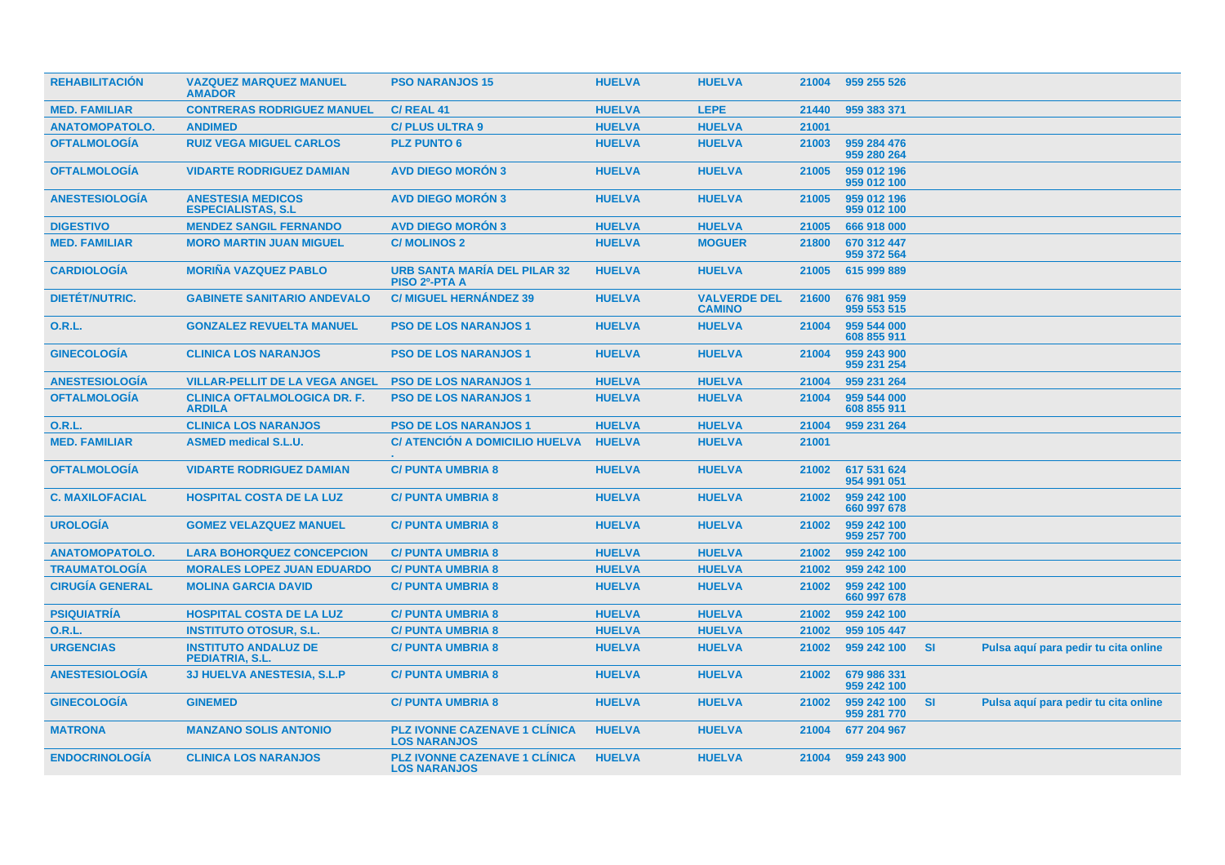| <b>REHABILITACIÓN</b>  | <b>VAZQUEZ MARQUEZ MANUEL</b><br><b>AMADOR</b>         | <b>PSO NARANJOS 15</b>                                      | <b>HUELVA</b> | <b>HUELVA</b>                        | 21004 | 959 255 526                |           |                                      |
|------------------------|--------------------------------------------------------|-------------------------------------------------------------|---------------|--------------------------------------|-------|----------------------------|-----------|--------------------------------------|
| <b>MED. FAMILIAR</b>   | <b>CONTRERAS RODRIGUEZ MANUEL</b>                      | <b>C/ REAL 41</b>                                           | <b>HUELVA</b> | <b>LEPE</b>                          | 21440 | 959 383 371                |           |                                      |
| <b>ANATOMOPATOLO.</b>  | <b>ANDIMED</b>                                         | <b>C/PLUS ULTRA 9</b>                                       | <b>HUELVA</b> | <b>HUELVA</b>                        | 21001 |                            |           |                                      |
| <b>OFTALMOLOGÍA</b>    | <b>RUIZ VEGA MIGUEL CARLOS</b>                         | <b>PLZ PUNTO 6</b>                                          | <b>HUELVA</b> | <b>HUELVA</b>                        | 21003 | 959 284 476<br>959 280 264 |           |                                      |
| <b>OFTALMOLOGIA</b>    | <b>VIDARTE RODRIGUEZ DAMIAN</b>                        | <b>AVD DIEGO MORON 3</b>                                    | <b>HUELVA</b> | <b>HUELVA</b>                        | 21005 | 959 012 196<br>959 012 100 |           |                                      |
| <b>ANESTESIOLOGIA</b>  | <b>ANESTESIA MEDICOS</b><br><b>ESPECIALISTAS, S.L.</b> | <b>AVD DIEGO MORON 3</b>                                    | <b>HUELVA</b> | <b>HUELVA</b>                        | 21005 | 959 012 196<br>959 012 100 |           |                                      |
| <b>DIGESTIVO</b>       | <b>MENDEZ SANGIL FERNANDO</b>                          | <b>AVD DIEGO MORON 3</b>                                    | <b>HUELVA</b> | <b>HUELVA</b>                        | 21005 | 666 918 000                |           |                                      |
| <b>MED. FAMILIAR</b>   | <b>MORO MARTIN JUAN MIGUEL</b>                         | <b>C/MOLINOS 2</b>                                          | <b>HUELVA</b> | <b>MOGUER</b>                        | 21800 | 670 312 447<br>959 372 564 |           |                                      |
| <b>CARDIOLOGIA</b>     | <b>MORINA VAZQUEZ PABLO</b>                            | <b>URB SANTA MARÍA DEL PILAR 32</b><br><b>PISO 2º-PTA A</b> | <b>HUELVA</b> | <b>HUELVA</b>                        | 21005 | 615 999 889                |           |                                      |
| <b>DIETÉT/NUTRIC.</b>  | <b>GABINETE SANITARIO ANDEVALO</b>                     | <b>C/ MIGUEL HERNÁNDEZ 39</b>                               | <b>HUELVA</b> | <b>VALVERDE DEL</b><br><b>CAMINO</b> | 21600 | 676 981 959<br>959 553 515 |           |                                      |
| 0.R.L.                 | <b>GONZALEZ REVUELTA MANUEL</b>                        | <b>PSO DE LOS NARANJOS 1</b>                                | <b>HUELVA</b> | <b>HUELVA</b>                        | 21004 | 959 544 000<br>608 855 911 |           |                                      |
| <b>GINECOLOGÍA</b>     | <b>CLINICA LOS NARANJOS</b>                            | <b>PSO DE LOS NARANJOS 1</b>                                | <b>HUELVA</b> | <b>HUELVA</b>                        | 21004 | 959 243 900<br>959 231 254 |           |                                      |
| <b>ANESTESIOLOGIA</b>  | <b>VILLAR-PELLIT DE LA VEGA ANGEL</b>                  | <b>PSO DE LOS NARANJOS 1</b>                                | <b>HUELVA</b> | <b>HUELVA</b>                        | 21004 | 959 231 264                |           |                                      |
| <b>OFTALMOLOGÍA</b>    | <b>CLINICA OFTALMOLOGICA DR. F.</b><br><b>ARDILA</b>   | <b>PSO DE LOS NARANJOS 1</b>                                | <b>HUELVA</b> | <b>HUELVA</b>                        | 21004 | 959 544 000<br>608 855 911 |           |                                      |
| <b>O.R.L.</b>          | <b>CLINICA LOS NARANJOS</b>                            | <b>PSO DE LOS NARANJOS 1</b>                                | <b>HUELVA</b> | <b>HUELVA</b>                        | 21004 | 959 231 264                |           |                                      |
| <b>MED. FAMILIAR</b>   | <b>ASMED medical S.L.U.</b>                            | <b>C/ ATENCIÓN A DOMICILIO HUELVA</b>                       | <b>HUELVA</b> | <b>HUELVA</b>                        | 21001 |                            |           |                                      |
| <b>OFTALMOLOGIA</b>    | <b>VIDARTE RODRIGUEZ DAMIAN</b>                        | <b>C/PUNTA UMBRIA 8</b>                                     | <b>HUELVA</b> | <b>HUELVA</b>                        | 21002 | 617 531 624<br>954 991 051 |           |                                      |
| <b>C. MAXILOFACIAL</b> | <b>HOSPITAL COSTA DE LA LUZ</b>                        | <b>C/PUNTA UMBRIA 8</b>                                     | <b>HUELVA</b> | <b>HUELVA</b>                        | 21002 | 959 242 100<br>660 997 678 |           |                                      |
| <b>UROLOGÍA</b>        | <b>GOMEZ VELAZQUEZ MANUEL</b>                          | <b>C/ PUNTA UMBRIA 8</b>                                    | <b>HUELVA</b> | <b>HUELVA</b>                        | 21002 | 959 242 100<br>959 257 700 |           |                                      |
| <b>ANATOMOPATOLO.</b>  | <b>LARA BOHORQUEZ CONCEPCION</b>                       | <b>C/ PUNTA UMBRIA 8</b>                                    | <b>HUELVA</b> | <b>HUELVA</b>                        | 21002 | 959 242 100                |           |                                      |
| <b>TRAUMATOLOGIA</b>   | <b>MORALES LOPEZ JUAN EDUARDO</b>                      | <b>C/ PUNTA UMBRIA 8</b>                                    | <b>HUELVA</b> | <b>HUELVA</b>                        | 21002 | 959 242 100                |           |                                      |
| <b>CIRUGÍA GENERAL</b> | <b>MOLINA GARCIA DAVID</b>                             | <b>C/ PUNTA UMBRIA 8</b>                                    | <b>HUELVA</b> | <b>HUELVA</b>                        | 21002 | 959 242 100<br>660 997 678 |           |                                      |
| <b>PSIQUIATRÍA</b>     | <b>HOSPITAL COSTA DE LA LUZ</b>                        | <b>C/ PUNTA UMBRIA 8</b>                                    | <b>HUELVA</b> | <b>HUELVA</b>                        | 21002 | 959 242 100                |           |                                      |
| O.R.L.                 | <b>INSTITUTO OTOSUR, S.L.</b>                          | <b>C/PUNTA UMBRIA 8</b>                                     | <b>HUELVA</b> | <b>HUELVA</b>                        | 21002 | 959 105 447                |           |                                      |
| <b>URGENCIAS</b>       | <b>INSTITUTO ANDALUZ DE</b><br>PEDIATRIA, S.L.         | <b>C/ PUNTA UMBRIA 8</b>                                    | <b>HUELVA</b> | <b>HUELVA</b>                        | 21002 | 959 242 100                | -SI       | Pulsa aquí para pedir tu cita online |
| <b>ANESTESIOLOGIA</b>  | <b>3J HUELVA ANESTESIA, S.L.P</b>                      | <b>C/ PUNTA UMBRIA 8</b>                                    | <b>HUELVA</b> | <b>HUELVA</b>                        | 21002 | 679 986 331<br>959 242 100 |           |                                      |
| <b>GINECOLOGIA</b>     | <b>GINEMED</b>                                         | <b>C/PUNTA UMBRIA 8</b>                                     | <b>HUELVA</b> | <b>HUELVA</b>                        | 21002 | 959 242 100<br>959 281 770 | <b>SI</b> | Pulsa aquí para pedir tu cita online |
| <b>MATRONA</b>         | <b>MANZANO SOLIS ANTONIO</b>                           | <b>PLZ IVONNE CAZENAVE 1 CLINICA</b><br><b>LOS NARANJOS</b> | <b>HUELVA</b> | <b>HUELVA</b>                        | 21004 | 677 204 967                |           |                                      |
| <b>ENDOCRINOLOGÍA</b>  | <b>CLINICA LOS NARANJOS</b>                            | <b>PLZ IVONNE CAZENAVE 1 CLINICA</b><br><b>LOS NARANJOS</b> | <b>HUELVA</b> | <b>HUELVA</b>                        | 21004 | 959 243 900                |           |                                      |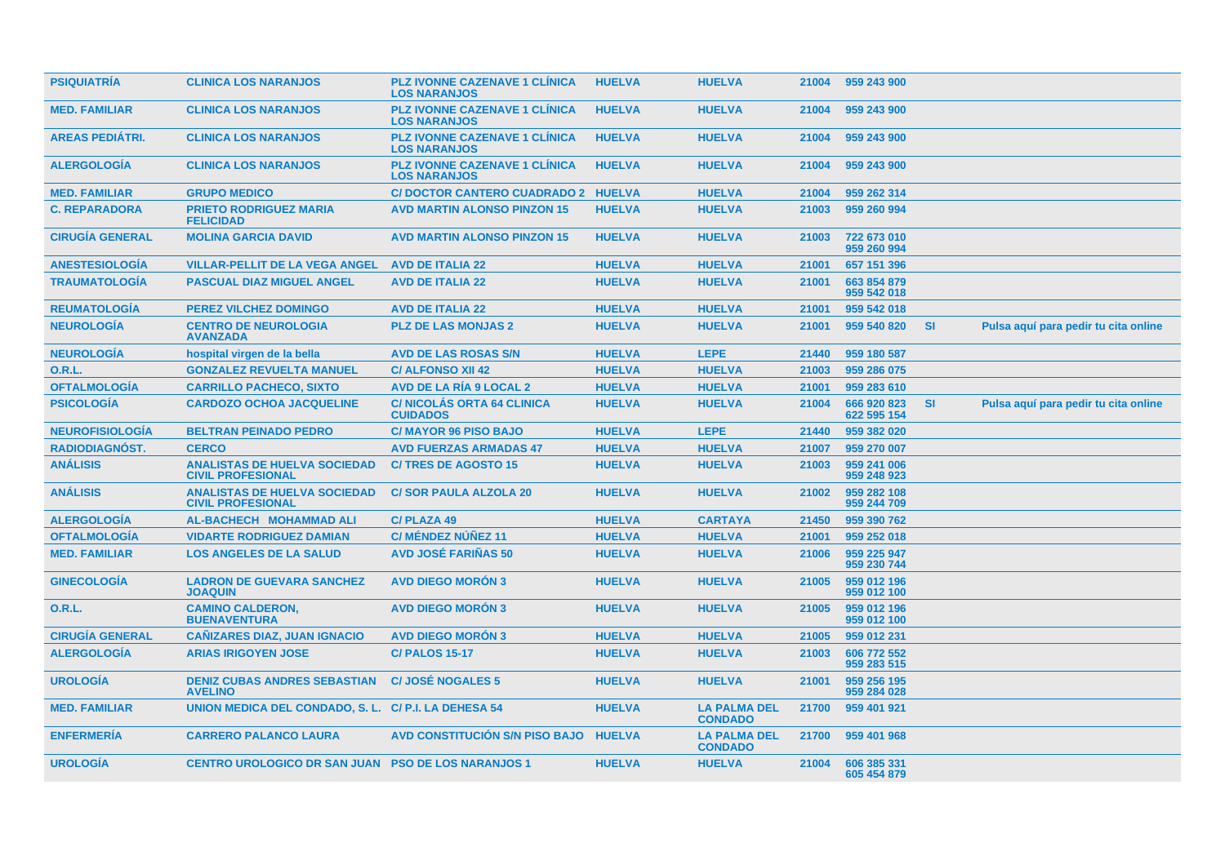| <b>PSIQUIATRÍA</b>     | <b>CLINICA LOS NARANJOS</b>                                     | <b>PLZ IVONNE CAZENAVE 1 CLINICA</b><br><b>LOS NARANJOS</b> | <b>HUELVA</b> | <b>HUELVA</b>                         | 21004 | 959 243 900                |           |                                      |
|------------------------|-----------------------------------------------------------------|-------------------------------------------------------------|---------------|---------------------------------------|-------|----------------------------|-----------|--------------------------------------|
| <b>MED. FAMILIAR</b>   | <b>CLINICA LOS NARANJOS</b>                                     | <b>PLZ IVONNE CAZENAVE 1 CLINICA</b><br><b>LOS NARANJOS</b> | <b>HUELVA</b> | <b>HUELVA</b>                         | 21004 | 959 243 900                |           |                                      |
| <b>AREAS PEDIÁTRI.</b> | <b>CLINICA LOS NARANJOS</b>                                     | <b>PLZ IVONNE CAZENAVE 1 CLINICA</b><br><b>LOS NARANJOS</b> | <b>HUELVA</b> | <b>HUELVA</b>                         | 21004 | 959 243 900                |           |                                      |
| <b>ALERGOLOGÍA</b>     | <b>CLINICA LOS NARANJOS</b>                                     | <b>PLZ IVONNE CAZENAVE 1 CLINICA</b><br><b>LOS NARANJOS</b> | <b>HUELVA</b> | <b>HUELVA</b>                         | 21004 | 959 243 900                |           |                                      |
| <b>MED. FAMILIAR</b>   | <b>GRUPO MEDICO</b>                                             | C/ DOCTOR CANTERO CUADRADO 2 HUELVA                         |               | <b>HUELVA</b>                         | 21004 | 959 262 314                |           |                                      |
| <b>C. REPARADORA</b>   | <b>PRIETO RODRIGUEZ MARIA</b><br><b>FELICIDAD</b>               | <b>AVD MARTIN ALONSO PINZON 15</b>                          | <b>HUELVA</b> | <b>HUELVA</b>                         | 21003 | 959 260 994                |           |                                      |
| <b>CIRUGÍA GENERAL</b> | <b>MOLINA GARCIA DAVID</b>                                      | <b>AVD MARTIN ALONSO PINZON 15</b>                          | <b>HUELVA</b> | <b>HUELVA</b>                         | 21003 | 722 673 010<br>959 260 994 |           |                                      |
| <b>ANESTESIOLOGÍA</b>  | <b>VILLAR-PELLIT DE LA VEGA ANGEL</b>                           | <b>AVD DE ITALIA 22</b>                                     | <b>HUELVA</b> | <b>HUELVA</b>                         | 21001 | 657 151 396                |           |                                      |
| <b>TRAUMATOLOGIA</b>   | <b>PASCUAL DIAZ MIGUEL ANGEL</b>                                | <b>AVD DE ITALIA 22</b>                                     | <b>HUELVA</b> | <b>HUELVA</b>                         | 21001 | 663 854 879<br>959 542 018 |           |                                      |
| <b>REUMATOLOGIA</b>    | <b>PEREZ VILCHEZ DOMINGO</b>                                    | <b>AVD DE ITALIA 22</b>                                     | <b>HUELVA</b> | <b>HUELVA</b>                         | 21001 | 959 542 018                |           |                                      |
| <b>NEUROLOGÍA</b>      | <b>CENTRO DE NEUROLOGIA</b><br><b>AVANZADA</b>                  | <b>PLZ DE LAS MONJAS 2</b>                                  | <b>HUELVA</b> | <b>HUELVA</b>                         | 21001 | 959 540 820                | <b>SI</b> | Pulsa aquí para pedir tu cita online |
| <b>NEUROLOGÍA</b>      | hospital virgen de la bella                                     | <b>AVD DE LAS ROSAS S/N</b>                                 | <b>HUELVA</b> | <b>LEPE</b>                           | 21440 | 959 180 587                |           |                                      |
| 0.R.L.                 | <b>GONZALEZ REVUELTA MANUEL</b>                                 | <b>C/ALFONSO XII 42</b>                                     | <b>HUELVA</b> | <b>HUELVA</b>                         | 21003 | 959 286 075                |           |                                      |
| <b>OFTALMOLOGÍA</b>    | <b>CARRILLO PACHECO, SIXTO</b>                                  | <b>AVD DE LA RÍA 9 LOCAL 2</b>                              | <b>HUELVA</b> | <b>HUELVA</b>                         | 21001 | 959 283 610                |           |                                      |
| <b>PSICOLOGIA</b>      | <b>CARDOZO OCHOA JACQUELINE</b>                                 | <b>C/NICOLAS ORTA 64 CLINICA</b><br><b>CUIDADOS</b>         | <b>HUELVA</b> | <b>HUELVA</b>                         | 21004 | 666 920 823<br>622 595 154 | <b>SI</b> | Pulsa aquí para pedir tu cita online |
| <b>NEUROFISIOLOGÍA</b> | <b>BELTRAN PEINADO PEDRO</b>                                    | <b>C/MAYOR 96 PISO BAJO</b>                                 | <b>HUELVA</b> | <b>LEPE</b>                           | 21440 | 959 382 020                |           |                                      |
| <b>RADIODIAGNÓST.</b>  | <b>CERCO</b>                                                    | <b>AVD FUERZAS ARMADAS 47</b>                               | <b>HUELVA</b> | <b>HUELVA</b>                         | 21007 | 959 270 007                |           |                                      |
| <b>ANÁLISIS</b>        | <b>ANALISTAS DE HUELVA SOCIEDAD</b><br><b>CIVIL PROFESIONAL</b> | <b>C/TRES DE AGOSTO 15</b>                                  | <b>HUELVA</b> | <b>HUELVA</b>                         | 21003 | 959 241 006<br>959 248 923 |           |                                      |
| <b>ANÁLISIS</b>        | <b>ANALISTAS DE HUELVA SOCIEDAD</b><br><b>CIVIL PROFESIONAL</b> | <b>C/SOR PAULA ALZOLA 20</b>                                | <b>HUELVA</b> | <b>HUELVA</b>                         | 21002 | 959 282 108<br>959 244 709 |           |                                      |
| <b>ALERGOLOGÍA</b>     | <b>AL-BACHECH MOHAMMAD ALI</b>                                  | <b>C/PLAZA 49</b>                                           | <b>HUELVA</b> | <b>CARTAYA</b>                        | 21450 | 959 390 762                |           |                                      |
| <b>OFTALMOLOGÍA</b>    | <b>VIDARTE RODRIGUEZ DAMIAN</b>                                 | C/ MÉNDEZ NÚÑEZ 11                                          | <b>HUELVA</b> | <b>HUELVA</b>                         | 21001 | 959 252 018                |           |                                      |
| <b>MED. FAMILIAR</b>   | <b>LOS ANGELES DE LA SALUD</b>                                  | <b>AVD JOSÉ FARIÑAS 50</b>                                  | <b>HUELVA</b> | <b>HUELVA</b>                         | 21006 | 959 225 947<br>959 230 744 |           |                                      |
| <b>GINECOLOGÍA</b>     | <b>LADRON DE GUEVARA SANCHEZ</b><br><b>JOAQUIN</b>              | <b>AVD DIEGO MORÓN 3</b>                                    | <b>HUELVA</b> | <b>HUELVA</b>                         | 21005 | 959 012 196<br>959 012 100 |           |                                      |
| 0.R.L.                 | <b>CAMINO CALDERON,</b><br><b>BUENAVENTURA</b>                  | <b>AVD DIEGO MORÓN 3</b>                                    | <b>HUELVA</b> | <b>HUELVA</b>                         | 21005 | 959 012 196<br>959 012 100 |           |                                      |
| <b>CIRUGÍA GENERAL</b> | <b>CAÑIZARES DIAZ, JUAN IGNACIO</b>                             | <b>AVD DIEGO MORÓN 3</b>                                    | <b>HUELVA</b> | <b>HUELVA</b>                         | 21005 | 959 012 231                |           |                                      |
| <b>ALERGOLOGÍA</b>     | <b>ARIAS IRIGOYEN JOSE</b>                                      | <b>C/ PALOS 15-17</b>                                       | <b>HUELVA</b> | <b>HUELVA</b>                         | 21003 | 606 772 552<br>959 283 515 |           |                                      |
| <b>UROLOGÍA</b>        | <b>DENIZ CUBAS ANDRES SEBASTIAN</b><br><b>AVELINO</b>           | <b>C/JOSÉ NOGALES 5</b>                                     | <b>HUELVA</b> | <b>HUELVA</b>                         | 21001 | 959 256 195<br>959 284 028 |           |                                      |
| <b>MED. FAMILIAR</b>   | UNION MEDICA DEL CONDADO, S. L. C/P.I. LA DEHESA 54             |                                                             | <b>HUELVA</b> | <b>LA PALMA DEL</b><br><b>CONDADO</b> | 21700 | 959 401 921                |           |                                      |
| <b>ENFERMERÍA</b>      | <b>CARRERO PALANCO LAURA</b>                                    | <b>AVD CONSTITUCIÓN S/N PISO BAJO</b>                       | <b>HUELVA</b> | <b>LA PALMA DEL</b><br><b>CONDADO</b> | 21700 | 959 401 968                |           |                                      |
| <b>UROLOGÍA</b>        | CENTRO UROLOGICO DR SAN JUAN PSO DE LOS NARANJOS 1              |                                                             | <b>HUELVA</b> | <b>HUELVA</b>                         | 21004 | 606 385 331<br>605 454 879 |           |                                      |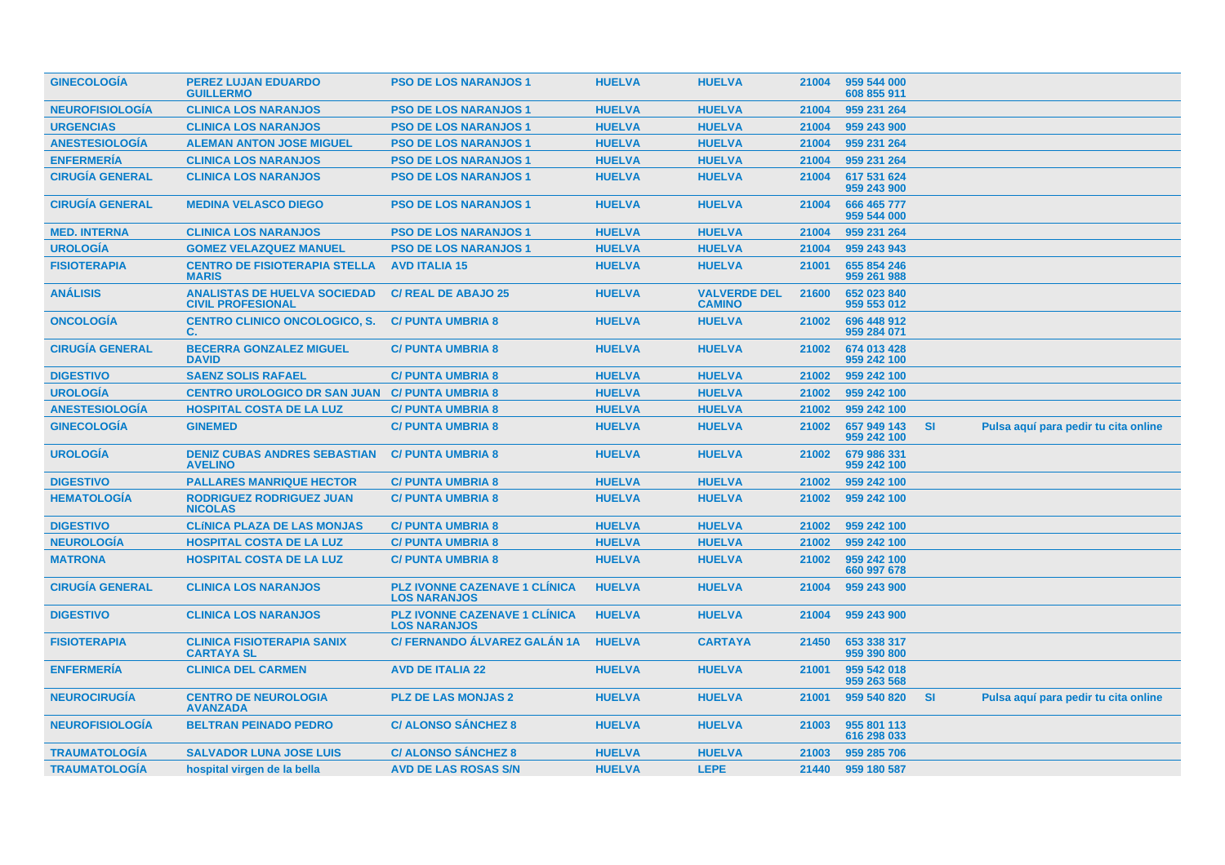| <b>GINECOLOGIA</b>     | <b>PEREZ LUJAN EDUARDO</b><br><b>GUILLERMO</b>                  | <b>PSO DE LOS NARANJOS 1</b>                                | <b>HUELVA</b> | <b>HUELVA</b>                        | 21004 | 959 544 000<br>608 855 911 |           |                                      |
|------------------------|-----------------------------------------------------------------|-------------------------------------------------------------|---------------|--------------------------------------|-------|----------------------------|-----------|--------------------------------------|
| <b>NEUROFISIOLOGIA</b> | <b>CLINICA LOS NARANJOS</b>                                     | <b>PSO DE LOS NARANJOS 1</b>                                | <b>HUELVA</b> | <b>HUELVA</b>                        | 21004 | 959 231 264                |           |                                      |
| <b>URGENCIAS</b>       | <b>CLINICA LOS NARANJOS</b>                                     | <b>PSO DE LOS NARANJOS 1</b>                                | <b>HUELVA</b> | <b>HUELVA</b>                        | 21004 | 959 243 900                |           |                                      |
| <b>ANESTESIOLOGÍA</b>  | <b>ALEMAN ANTON JOSE MIGUEL</b>                                 | <b>PSO DE LOS NARANJOS 1</b>                                | <b>HUELVA</b> | <b>HUELVA</b>                        | 21004 | 959 231 264                |           |                                      |
| <b>ENFERMERÍA</b>      | <b>CLINICA LOS NARANJOS</b>                                     | <b>PSO DE LOS NARANJOS 1</b>                                | <b>HUELVA</b> | <b>HUELVA</b>                        | 21004 | 959 231 264                |           |                                      |
| <b>CIRUGÍA GENERAL</b> | <b>CLINICA LOS NARANJOS</b>                                     | <b>PSO DE LOS NARANJOS 1</b>                                | <b>HUELVA</b> | <b>HUELVA</b>                        | 21004 | 617 531 624<br>959 243 900 |           |                                      |
| <b>CIRUGÍA GENERAL</b> | <b>MEDINA VELASCO DIEGO</b>                                     | <b>PSO DE LOS NARANJOS 1</b>                                | <b>HUELVA</b> | <b>HUELVA</b>                        | 21004 | 666 465 777<br>959 544 000 |           |                                      |
| <b>MED. INTERNA</b>    | <b>CLINICA LOS NARANJOS</b>                                     | <b>PSO DE LOS NARANJOS 1</b>                                | <b>HUELVA</b> | <b>HUELVA</b>                        | 21004 | 959 231 264                |           |                                      |
| <b>UROLOGÍA</b>        | <b>GOMEZ VELAZQUEZ MANUEL</b>                                   | <b>PSO DE LOS NARANJOS 1</b>                                | <b>HUELVA</b> | <b>HUELVA</b>                        | 21004 | 959 243 943                |           |                                      |
| <b>FISIOTERAPIA</b>    | <b>CENTRO DE FISIOTERAPIA STELLA</b><br><b>MARIS</b>            | <b>AVD ITALIA 15</b>                                        | <b>HUELVA</b> | <b>HUELVA</b>                        | 21001 | 655 854 246<br>959 261 988 |           |                                      |
| <b>ANÁLISIS</b>        | <b>ANALISTAS DE HUELVA SOCIEDAD</b><br><b>CIVIL PROFESIONAL</b> | <b>C/ REAL DE ABAJO 25</b>                                  | <b>HUELVA</b> | <b>VALVERDE DEL</b><br><b>CAMINO</b> | 21600 | 652 023 840<br>959 553 012 |           |                                      |
| <b>ONCOLOGIA</b>       | <b>CENTRO CLINICO ONCOLOGICO, S.</b><br>C.                      | <b>C/ PUNTA UMBRIA 8</b>                                    | <b>HUELVA</b> | <b>HUELVA</b>                        | 21002 | 696 448 912<br>959 284 071 |           |                                      |
| <b>CIRUGIA GENERAL</b> | <b>BECERRA GONZALEZ MIGUEL</b><br><b>DAVID</b>                  | <b>C/ PUNTA UMBRIA 8</b>                                    | <b>HUELVA</b> | <b>HUELVA</b>                        | 21002 | 674 013 428<br>959 242 100 |           |                                      |
| <b>DIGESTIVO</b>       | <b>SAENZ SOLIS RAFAEL</b>                                       | <b>C/ PUNTA UMBRIA 8</b>                                    | <b>HUELVA</b> | <b>HUELVA</b>                        | 21002 | 959 242 100                |           |                                      |
| <b>UROLOGÍA</b>        | <b>CENTRO UROLOGICO DR SAN JUAN C/ PUNTA UMBRIA 8</b>           |                                                             | <b>HUELVA</b> | <b>HUELVA</b>                        | 21002 | 959 242 100                |           |                                      |
| <b>ANESTESIOLOGIA</b>  | <b>HOSPITAL COSTA DE LA LUZ</b>                                 | <b>C/ PUNTA UMBRIA 8</b>                                    | <b>HUELVA</b> | <b>HUELVA</b>                        | 21002 | 959 242 100                |           |                                      |
| <b>GINECOLOGÍA</b>     | <b>GINEMED</b>                                                  | <b>C/ PUNTA UMBRIA 8</b>                                    | <b>HUELVA</b> | <b>HUELVA</b>                        | 21002 | 657 949 143<br>959 242 100 | <b>SI</b> | Pulsa aquí para pedir tu cita online |
| <b>UROLOGÍA</b>        | <b>DENIZ CUBAS ANDRES SEBASTIAN</b><br><b>AVELINO</b>           | <b>C/ PUNTA UMBRIA 8</b>                                    | <b>HUELVA</b> | <b>HUELVA</b>                        | 21002 | 679 986 331<br>959 242 100 |           |                                      |
| <b>DIGESTIVO</b>       | <b>PALLARES MANRIQUE HECTOR</b>                                 | <b>C/PUNTA UMBRIA 8</b>                                     | <b>HUELVA</b> | <b>HUELVA</b>                        | 21002 | 959 242 100                |           |                                      |
| <b>HEMATOLOGÍA</b>     | <b>RODRIGUEZ RODRIGUEZ JUAN</b><br><b>NICOLAS</b>               | <b>C/ PUNTA UMBRIA 8</b>                                    | <b>HUELVA</b> | <b>HUELVA</b>                        | 21002 | 959 242 100                |           |                                      |
| <b>DIGESTIVO</b>       | <b>CLÍNICA PLAZA DE LAS MONJAS</b>                              | <b>C/ PUNTA UMBRIA 8</b>                                    | <b>HUELVA</b> | <b>HUELVA</b>                        | 21002 | 959 242 100                |           |                                      |
| <b>NEUROLOGÍA</b>      | <b>HOSPITAL COSTA DE LA LUZ</b>                                 | <b>C/ PUNTA UMBRIA 8</b>                                    | <b>HUELVA</b> | <b>HUELVA</b>                        | 21002 | 959 242 100                |           |                                      |
| <b>MATRONA</b>         | <b>HOSPITAL COSTA DE LA LUZ</b>                                 | <b>C/ PUNTA UMBRIA 8</b>                                    | <b>HUELVA</b> | <b>HUELVA</b>                        | 21002 | 959 242 100<br>660 997 678 |           |                                      |
| <b>CIRUGÍA GENERAL</b> | <b>CLINICA LOS NARANJOS</b>                                     | <b>PLZ IVONNE CAZENAVE 1 CLÍNICA</b><br><b>LOS NARANJOS</b> | <b>HUELVA</b> | <b>HUELVA</b>                        | 21004 | 959 243 900                |           |                                      |
| <b>DIGESTIVO</b>       | <b>CLINICA LOS NARANJOS</b>                                     | <b>PLZ IVONNE CAZENAVE 1 CLÍNICA</b><br><b>LOS NARANJOS</b> | <b>HUELVA</b> | <b>HUELVA</b>                        | 21004 | 959 243 900                |           |                                      |
| <b>FISIOTERAPIA</b>    | <b>CLINICA FISIOTERAPIA SANIX</b><br><b>CARTAYA SL</b>          | C/ FERNANDO ÁLVAREZ GALÁN 1A                                | <b>HUELVA</b> | <b>CARTAYA</b>                       | 21450 | 653 338 317<br>959 390 800 |           |                                      |
| <b>ENFERMERIA</b>      | <b>CLINICA DEL CARMEN</b>                                       | <b>AVD DE ITALIA 22</b>                                     | <b>HUELVA</b> | <b>HUELVA</b>                        | 21001 | 959 542 018<br>959 263 568 |           |                                      |
| <b>NEUROCIRUGIA</b>    | <b>CENTRO DE NEUROLOGIA</b><br><b>AVANZADA</b>                  | <b>PLZ DE LAS MONJAS 2</b>                                  | <b>HUELVA</b> | <b>HUELVA</b>                        | 21001 | 959 540 820                | -SI       | Pulsa aquí para pedir tu cita online |
| <b>NEUROFISIOLOGIA</b> | <b>BELTRAN PEINADO PEDRO</b>                                    | <b>C/ ALONSO SANCHEZ 8</b>                                  | <b>HUELVA</b> | <b>HUELVA</b>                        | 21003 | 955 801 113<br>616 298 033 |           |                                      |
| <b>TRAUMATOLOGIA</b>   | <b>SALVADOR LUNA JOSE LUIS</b>                                  | <b>C/ ALONSO SÁNCHEZ 8</b>                                  | <b>HUELVA</b> | <b>HUELVA</b>                        | 21003 | 959 285 706                |           |                                      |
| <b>TRAUMATOLOGIA</b>   | hospital virgen de la bella                                     | <b>AVD DE LAS ROSAS S/N</b>                                 | <b>HUELVA</b> | <b>LEPE</b>                          | 21440 | 959 180 587                |           |                                      |
|                        |                                                                 |                                                             |               |                                      |       |                            |           |                                      |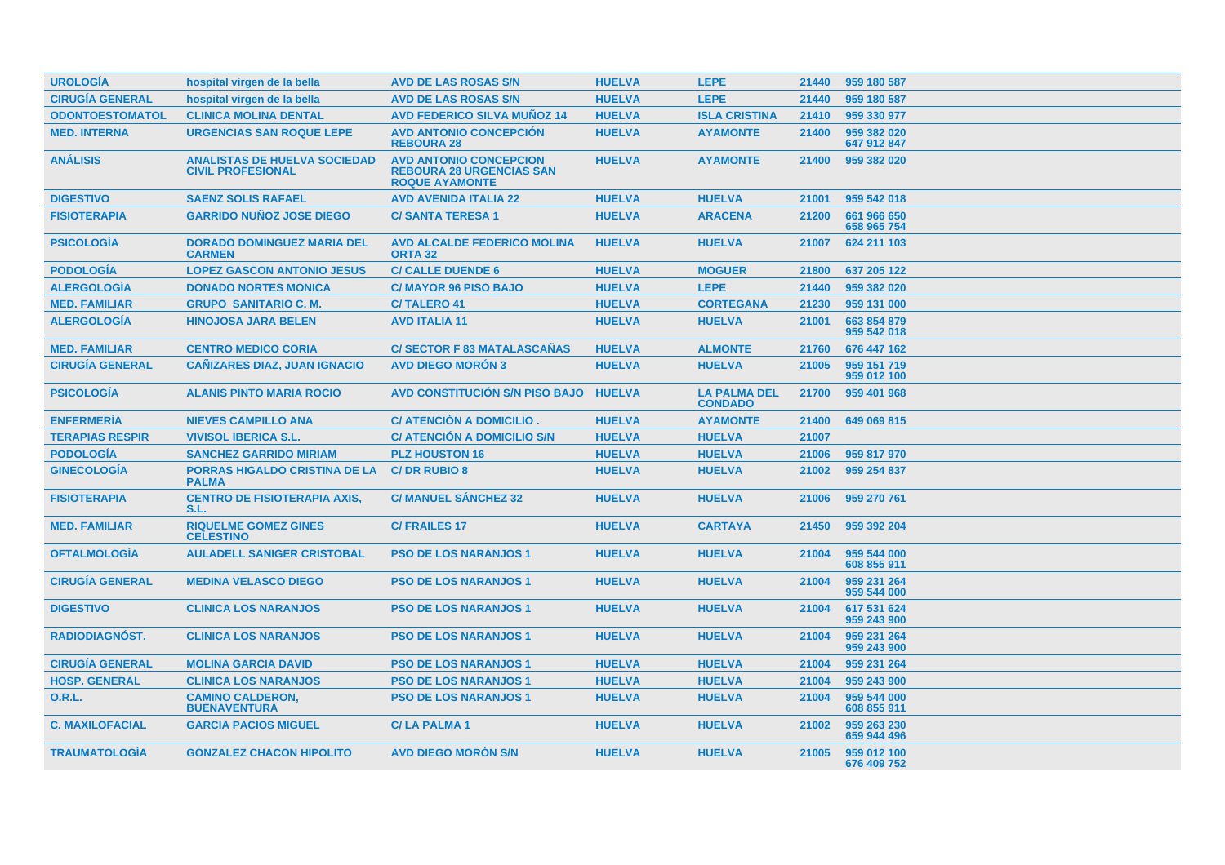| <b>UROLOGÍA</b>        | hospital virgen de la bella                                     | <b>AVD DE LAS ROSAS S/N</b>                                                               | <b>HUELVA</b> | <b>LEPE</b>                           | 21440 | 959 180 587                |
|------------------------|-----------------------------------------------------------------|-------------------------------------------------------------------------------------------|---------------|---------------------------------------|-------|----------------------------|
| <b>CIRUGÍA GENERAL</b> | hospital virgen de la bella                                     | <b>AVD DE LAS ROSAS S/N</b>                                                               | <b>HUELVA</b> | <b>LEPE</b>                           | 21440 | 959 180 587                |
| <b>ODONTOESTOMATOL</b> | <b>CLINICA MOLINA DENTAL</b>                                    | <b>AVD FEDERICO SILVA MUÑOZ 14</b>                                                        | <b>HUELVA</b> | <b>ISLA CRISTINA</b>                  | 21410 | 959 330 977                |
| <b>MED. INTERNA</b>    | <b>URGENCIAS SAN ROQUE LEPE</b>                                 | <b>AVD ANTONIO CONCEPCIÓN</b><br><b>REBOURA 28</b>                                        | <b>HUELVA</b> | <b>AYAMONTE</b>                       | 21400 | 959 382 020<br>647 912 847 |
| <b>ANÁLISIS</b>        | <b>ANALISTAS DE HUELVA SOCIEDAD</b><br><b>CIVIL PROFESIONAL</b> | <b>AVD ANTONIO CONCEPCION</b><br><b>REBOURA 28 URGENCIAS SAN</b><br><b>ROQUE AYAMONTE</b> | <b>HUELVA</b> | <b>AYAMONTE</b>                       | 21400 | 959 382 020                |
| <b>DIGESTIVO</b>       | <b>SAENZ SOLIS RAFAEL</b>                                       | <b>AVD AVENIDA ITALIA 22</b>                                                              | <b>HUELVA</b> | <b>HUELVA</b>                         | 21001 | 959 542 018                |
| <b>FISIOTERAPIA</b>    | <b>GARRIDO NUÑOZ JOSE DIEGO</b>                                 | <b>C/SANTA TERESA 1</b>                                                                   | <b>HUELVA</b> | <b>ARACENA</b>                        | 21200 | 661 966 650<br>658 965 754 |
| <b>PSICOLOGÍA</b>      | <b>DORADO DOMINGUEZ MARIA DEL</b><br><b>CARMEN</b>              | <b>AVD ALCALDE FEDERICO MOLINA</b><br><b>ORTA 32</b>                                      | <b>HUELVA</b> | <b>HUELVA</b>                         | 21007 | 624 211 103                |
| <b>PODOLOGÍA</b>       | <b>LOPEZ GASCON ANTONIO JESUS</b>                               | <b>C/ CALLE DUENDE 6</b>                                                                  | <b>HUELVA</b> | <b>MOGUER</b>                         | 21800 | 637 205 122                |
| <b>ALERGOLOGIA</b>     | <b>DONADO NORTES MONICA</b>                                     | <b>C/MAYOR 96 PISO BAJO</b>                                                               | <b>HUELVA</b> | <b>LEPE</b>                           | 21440 | 959 382 020                |
| <b>MED. FAMILIAR</b>   | <b>GRUPO SANITARIO C. M.</b>                                    | <b>C/TALERO 41</b>                                                                        | <b>HUELVA</b> | <b>CORTEGANA</b>                      | 21230 | 959 131 000                |
| <b>ALERGOLOGIA</b>     | <b>HINOJOSA JARA BELEN</b>                                      | <b>AVD ITALIA 11</b>                                                                      | <b>HUELVA</b> | <b>HUELVA</b>                         | 21001 | 663 854 879<br>959 542 018 |
| <b>MED. FAMILIAR</b>   | <b>CENTRO MEDICO CORIA</b>                                      | <b>C/SECTOR F 83 MATALASCAÑAS</b>                                                         | <b>HUELVA</b> | <b>ALMONTE</b>                        | 21760 | 676 447 162                |
| <b>CIRUGÍA GENERAL</b> | <b>CAÑIZARES DIAZ, JUAN IGNACIO</b>                             | <b>AVD DIEGO MORÓN 3</b>                                                                  | <b>HUELVA</b> | <b>HUELVA</b>                         | 21005 | 959 151 719<br>959 012 100 |
| <b>PSICOLOGÍA</b>      | <b>ALANIS PINTO MARIA ROCIO</b>                                 | <b>AVD CONSTITUCIÓN S/N PISO BAJO</b>                                                     | <b>HUELVA</b> | <b>LA PALMA DEL</b><br><b>CONDADO</b> | 21700 | 959 401 968                |
| <b>ENFERMERÍA</b>      | <b>NIEVES CAMPILLO ANA</b>                                      | C/ ATENCIÓN A DOMICILIO.                                                                  | <b>HUELVA</b> | <b>AYAMONTE</b>                       | 21400 | 649 069 815                |
| <b>TERAPIAS RESPIR</b> | <b>VIVISOL IBERICA S.L.</b>                                     | <b>C/ ATENCIÓN A DOMICILIO S/N</b>                                                        | <b>HUELVA</b> | <b>HUELVA</b>                         | 21007 |                            |
| <b>PODOLOGÍA</b>       | <b>SANCHEZ GARRIDO MIRIAM</b>                                   | <b>PLZ HOUSTON 16</b>                                                                     | <b>HUELVA</b> | <b>HUELVA</b>                         | 21006 | 959 817 970                |
| <b>GINECOLOGÍA</b>     | <b>PORRAS HIGALDO CRISTINA DE LA</b><br><b>PALMA</b>            | <b>C/DR RUBIO 8</b>                                                                       | <b>HUELVA</b> | <b>HUELVA</b>                         | 21002 | 959 254 837                |
| <b>FISIOTERAPIA</b>    | <b>CENTRO DE FISIOTERAPIA AXIS,</b><br>S.L.                     | <b>C/ MANUEL SANCHEZ 32</b>                                                               | <b>HUELVA</b> | <b>HUELVA</b>                         | 21006 | 959 270 761                |
| <b>MED. FAMILIAR</b>   | <b>RIQUELME GOMEZ GINES</b><br><b>CELESTINO</b>                 | <b>C/FRAILES 17</b>                                                                       | <b>HUELVA</b> | <b>CARTAYA</b>                        | 21450 | 959 392 204                |
| <b>OFTALMOLOGIA</b>    | <b>AULADELL SANIGER CRISTOBAL</b>                               | <b>PSO DE LOS NARANJOS 1</b>                                                              | <b>HUELVA</b> | <b>HUELVA</b>                         | 21004 | 959 544 000<br>608 855 911 |
| <b>CIRUGÍA GENERAL</b> | <b>MEDINA VELASCO DIEGO</b>                                     | <b>PSO DE LOS NARANJOS 1</b>                                                              | <b>HUELVA</b> | <b>HUELVA</b>                         | 21004 | 959 231 264<br>959 544 000 |
| <b>DIGESTIVO</b>       | <b>CLINICA LOS NARANJOS</b>                                     | <b>PSO DE LOS NARANJOS 1</b>                                                              | <b>HUELVA</b> | <b>HUELVA</b>                         | 21004 | 617 531 624<br>959 243 900 |
| RADIODIAGNÓST.         | <b>CLINICA LOS NARANJOS</b>                                     | <b>PSO DE LOS NARANJOS 1</b>                                                              | <b>HUELVA</b> | <b>HUELVA</b>                         | 21004 | 959 231 264<br>959 243 900 |
| <b>CIRUGÍA GENERAL</b> | <b>MOLINA GARCIA DAVID</b>                                      | <b>PSO DE LOS NARANJOS 1</b>                                                              | <b>HUELVA</b> | <b>HUELVA</b>                         | 21004 | 959 231 264                |
| <b>HOSP. GENERAL</b>   | <b>CLINICA LOS NARANJOS</b>                                     | <b>PSO DE LOS NARANJOS 1</b>                                                              | <b>HUELVA</b> | <b>HUELVA</b>                         | 21004 | 959 243 900                |
| 0.R.L.                 | <b>CAMINO CALDERON,</b><br><b>BUENAVENTURA</b>                  | <b>PSO DE LOS NARANJOS 1</b>                                                              | <b>HUELVA</b> | <b>HUELVA</b>                         | 21004 | 959 544 000<br>608 855 911 |
| <b>C. MAXILOFACIAL</b> | <b>GARCIA PACIOS MIGUEL</b>                                     | <b>C/LA PALMA1</b>                                                                        | <b>HUELVA</b> | <b>HUELVA</b>                         | 21002 | 959 263 230<br>659 944 496 |
| <b>TRAUMATOLOGIA</b>   | <b>GONZALEZ CHACON HIPOLITO</b>                                 | <b>AVD DIEGO MORÓN S/N</b>                                                                | <b>HUELVA</b> | <b>HUELVA</b>                         | 21005 | 959 012 100<br>676 409 752 |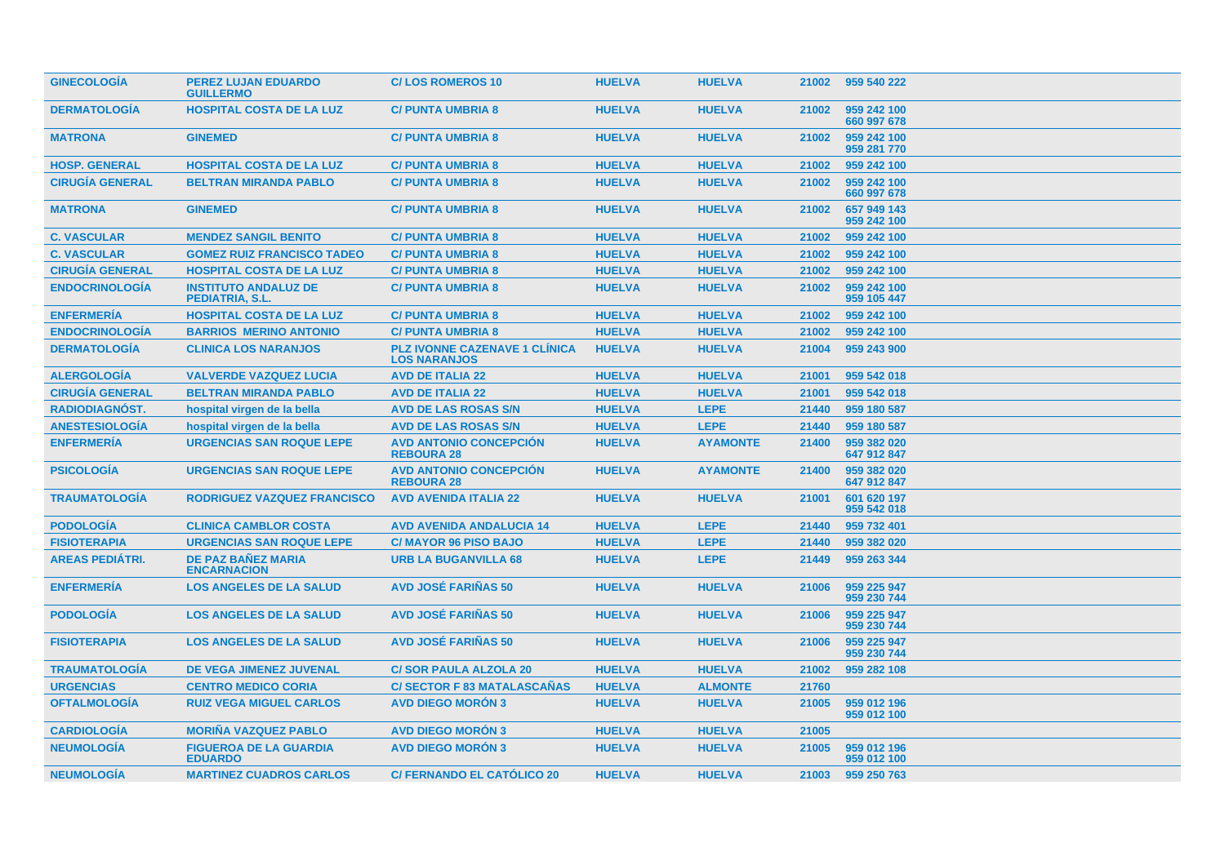| <b>GINECOLOGÍA</b>     | <b>PEREZ LUJAN EDUARDO</b><br><b>GUILLERMO</b>  | <b>C/LOS ROMEROS 10</b>                                     | <b>HUELVA</b> | <b>HUELVA</b>   | 21002 | 959 540 222                |
|------------------------|-------------------------------------------------|-------------------------------------------------------------|---------------|-----------------|-------|----------------------------|
| <b>DERMATOLOGÍA</b>    | <b>HOSPITAL COSTA DE LA LUZ</b>                 | <b>C/ PUNTA UMBRIA 8</b>                                    | <b>HUELVA</b> | <b>HUELVA</b>   | 21002 | 959 242 100<br>660 997 678 |
| <b>MATRONA</b>         | <b>GINEMED</b>                                  | <b>C/ PUNTA UMBRIA 8</b>                                    | <b>HUELVA</b> | <b>HUELVA</b>   | 21002 | 959 242 100<br>959 281 770 |
| <b>HOSP. GENERAL</b>   | <b>HOSPITAL COSTA DE LA LUZ</b>                 | <b>C/ PUNTA UMBRIA 8</b>                                    | <b>HUELVA</b> | <b>HUELVA</b>   | 21002 | 959 242 100                |
| <b>CIRUGÍA GENERAL</b> | <b>BELTRAN MIRANDA PABLO</b>                    | <b>C/PUNTA UMBRIA 8</b>                                     | <b>HUELVA</b> | <b>HUELVA</b>   | 21002 | 959 242 100<br>660 997 678 |
| <b>MATRONA</b>         | <b>GINEMED</b>                                  | <b>C/ PUNTA UMBRIA 8</b>                                    | <b>HUELVA</b> | <b>HUELVA</b>   | 21002 | 657 949 143<br>959 242 100 |
| <b>C. VASCULAR</b>     | <b>MENDEZ SANGIL BENITO</b>                     | <b>C/PUNTA UMBRIA 8</b>                                     | <b>HUELVA</b> | <b>HUELVA</b>   | 21002 | 959 242 100                |
| <b>C. VASCULAR</b>     | <b>GOMEZ RUIZ FRANCISCO TADEO</b>               | <b>C/PUNTA UMBRIA 8</b>                                     | <b>HUELVA</b> | <b>HUELVA</b>   | 21002 | 959 242 100                |
| <b>CIRUGÍA GENERAL</b> | <b>HOSPITAL COSTA DE LA LUZ</b>                 | <b>C/PUNTA UMBRIA 8</b>                                     | <b>HUELVA</b> | <b>HUELVA</b>   | 21002 | 959 242 100                |
| <b>ENDOCRINOLOGÍA</b>  | <b>INSTITUTO ANDALUZ DE</b><br>PEDIATRIA, S.L.  | <b>C/ PUNTA UMBRIA 8</b>                                    | <b>HUELVA</b> | <b>HUELVA</b>   | 21002 | 959 242 100<br>959 105 447 |
| <b>ENFERMERÍA</b>      | <b>HOSPITAL COSTA DE LA LUZ</b>                 | <b>C/PUNTA UMBRIA 8</b>                                     | <b>HUELVA</b> | <b>HUELVA</b>   | 21002 | 959 242 100                |
| <b>ENDOCRINOLOGIA</b>  | <b>BARRIOS MERINO ANTONIO</b>                   | <b>C/PUNTA UMBRIA 8</b>                                     | <b>HUELVA</b> | <b>HUELVA</b>   | 21002 | 959 242 100                |
| <b>DERMATOLOGÍA</b>    | <b>CLINICA LOS NARANJOS</b>                     | <b>PLZ IVONNE CAZENAVE 1 CLÍNICA</b><br><b>LOS NARANJOS</b> | <b>HUELVA</b> | <b>HUELVA</b>   | 21004 | 959 243 900                |
| <b>ALERGOLOGIA</b>     | <b>VALVERDE VAZQUEZ LUCIA</b>                   | <b>AVD DE ITALIA 22</b>                                     | <b>HUELVA</b> | <b>HUELVA</b>   | 21001 | 959 542 018                |
| <b>CIRUGIA GENERAL</b> | <b>BELTRAN MIRANDA PABLO</b>                    | <b>AVD DE ITALIA 22</b>                                     | <b>HUELVA</b> | <b>HUELVA</b>   | 21001 | 959 542 018                |
| RADIODIAGNÓST.         | hospital virgen de la bella                     | <b>AVD DE LAS ROSAS S/N</b>                                 | <b>HUELVA</b> | <b>LEPE</b>     | 21440 | 959 180 587                |
| <b>ANESTESIOLOGÍA</b>  | hospital virgen de la bella                     | <b>AVD DE LAS ROSAS S/N</b>                                 | <b>HUELVA</b> | <b>LEPE</b>     | 21440 | 959 180 587                |
| <b>ENFERMERÍA</b>      | <b>URGENCIAS SAN ROQUE LEPE</b>                 | <b>AVD ANTONIO CONCEPCIÓN</b><br><b>REBOURA 28</b>          | <b>HUELVA</b> | <b>AYAMONTE</b> | 21400 | 959 382 020<br>647 912 847 |
| <b>PSICOLOGÍA</b>      | <b>URGENCIAS SAN ROQUE LEPE</b>                 | <b>AVD ANTONIO CONCEPCIÓN</b><br><b>REBOURA 28</b>          | <b>HUELVA</b> | <b>AYAMONTE</b> | 21400 | 959 382 020<br>647 912 847 |
| <b>TRAUMATOLOGIA</b>   | RODRIGUEZ VAZQUEZ FRANCISCO                     | <b>AVD AVENIDA ITALIA 22</b>                                | <b>HUELVA</b> | <b>HUELVA</b>   | 21001 | 601 620 197<br>959 542 018 |
| <b>PODOLOGÍA</b>       | <b>CLINICA CAMBLOR COSTA</b>                    | <b>AVD AVENIDA ANDALUCIA 14</b>                             | <b>HUELVA</b> | <b>LEPE</b>     | 21440 | 959 732 401                |
| <b>FISIOTERAPIA</b>    | <b>URGENCIAS SAN ROQUE LEPE</b>                 | <b>C/MAYOR 96 PISO BAJO</b>                                 | <b>HUELVA</b> | <b>LEPE</b>     | 21440 | 959 382 020                |
| <b>AREAS PEDIÁTRI.</b> | <b>DE PAZ BAÑEZ MARIA</b><br><b>ENCARNACION</b> | <b>URB LA BUGANVILLA 68</b>                                 | <b>HUELVA</b> | <b>LEPE</b>     | 21449 | 959 263 344                |
| <b>ENFERMERÍA</b>      | <b>LOS ANGELES DE LA SALUD</b>                  | <b>AVD JOSÉ FARIÑAS 50</b>                                  | <b>HUELVA</b> | <b>HUELVA</b>   | 21006 | 959 225 947<br>959 230 744 |
| <b>PODOLOGIA</b>       | <b>LOS ANGELES DE LA SALUD</b>                  | <b>AVD JOSÉ FARIÑAS 50</b>                                  | <b>HUELVA</b> | <b>HUELVA</b>   | 21006 | 959 225 947<br>959 230 744 |
| <b>FISIOTERAPIA</b>    | <b>LOS ANGELES DE LA SALUD</b>                  | <b>AVD JOSÉ FARIÑAS 50</b>                                  | <b>HUELVA</b> | <b>HUELVA</b>   | 21006 | 959 225 947<br>959 230 744 |
| <b>TRAUMATOLOGIA</b>   | DE VEGA JIMENEZ JUVENAL                         | <b>C/SOR PAULA ALZOLA 20</b>                                | <b>HUELVA</b> | <b>HUELVA</b>   | 21002 | 959 282 108                |
| <b>URGENCIAS</b>       | <b>CENTRO MEDICO CORIA</b>                      | <b>C/SECTOR F 83 MATALASCAÑAS</b>                           | <b>HUELVA</b> | <b>ALMONTE</b>  | 21760 |                            |
| <b>OFTALMOLOGÍA</b>    | <b>RUIZ VEGA MIGUEL CARLOS</b>                  | <b>AVD DIEGO MORON 3</b>                                    | <b>HUELVA</b> | <b>HUELVA</b>   | 21005 | 959 012 196<br>959 012 100 |
| <b>CARDIOLOGIA</b>     | <b>MORIÑA VAZQUEZ PABLO</b>                     | <b>AVD DIEGO MORON 3</b>                                    | <b>HUELVA</b> | <b>HUELVA</b>   | 21005 |                            |
| <b>NEUMOLOGÍA</b>      | <b>FIGUEROA DE LA GUARDIA</b><br><b>EDUARDO</b> | <b>AVD DIEGO MORÓN 3</b>                                    | <b>HUELVA</b> | <b>HUELVA</b>   | 21005 | 959 012 196<br>959 012 100 |
| <b>NEUMOLOGIA</b>      | <b>MARTINEZ CUADROS CARLOS</b>                  | <b>C/ FERNANDO EL CATOLICO 20</b>                           | <b>HUELVA</b> | <b>HUELVA</b>   | 21003 | 959 250 763                |
|                        |                                                 |                                                             |               |                 |       |                            |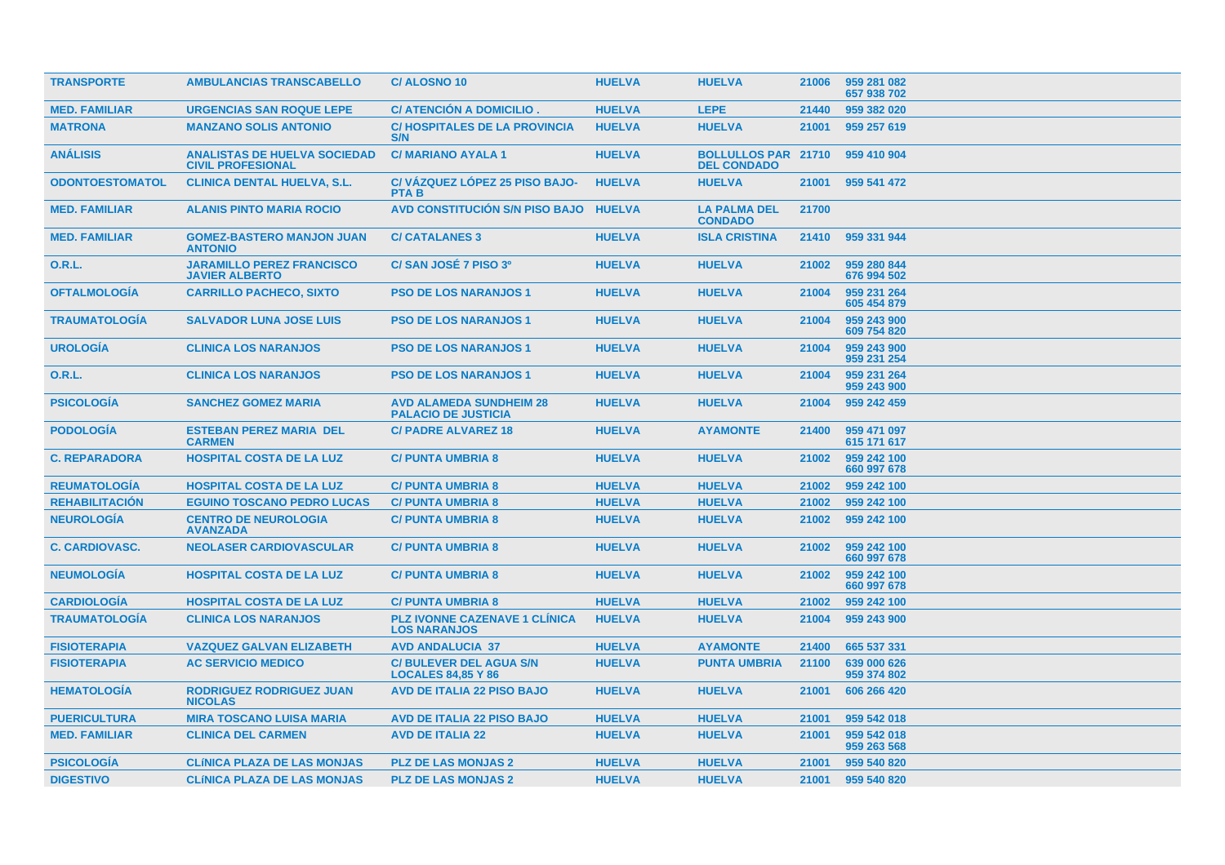| <b>TRANSPORTE</b>      | <b>AMBULANCIAS TRANSCABELLO</b>                                 | <b>C/ALOSNO 10</b>                                           | <b>HUELVA</b> | <b>HUELVA</b>                                    | 21006 | 959 281 082<br>657 938 702 |
|------------------------|-----------------------------------------------------------------|--------------------------------------------------------------|---------------|--------------------------------------------------|-------|----------------------------|
| <b>MED. FAMILIAR</b>   | <b>URGENCIAS SAN ROQUE LEPE</b>                                 | <b>C/ ATENCION A DOMICILIO.</b>                              | <b>HUELVA</b> | <b>LEPE</b>                                      | 21440 | 959 382 020                |
| <b>MATRONA</b>         | <b>MANZANO SOLIS ANTONIO</b>                                    | <b>C/HOSPITALES DE LA PROVINCIA</b><br>S/N                   | <b>HUELVA</b> | <b>HUELVA</b>                                    | 21001 | 959 257 619                |
| <b>ANÁLISIS</b>        | <b>ANALISTAS DE HUELVA SOCIEDAD</b><br><b>CIVIL PROFESIONAL</b> | <b>C/MARIANO AYALA 1</b>                                     | <b>HUELVA</b> | <b>BOLLULLOS PAR 21710</b><br><b>DEL CONDADO</b> |       | 959 410 904                |
| <b>ODONTOESTOMATOL</b> | <b>CLINICA DENTAL HUELVA, S.L.</b>                              | C/VÁZQUEZ LÓPEZ 25 PISO BAJO-<br><b>PTAB</b>                 | <b>HUELVA</b> | <b>HUELVA</b>                                    | 21001 | 959 541 472                |
| <b>MED. FAMILIAR</b>   | <b>ALANIS PINTO MARIA ROCIO</b>                                 | <b>AVD CONSTITUCIÓN S/N PISO BAJO</b>                        | <b>HUELVA</b> | <b>LA PALMA DEL</b><br><b>CONDADO</b>            | 21700 |                            |
| <b>MED. FAMILIAR</b>   | <b>GOMEZ-BASTERO MANJON JUAN</b><br><b>ANTONIO</b>              | <b>C/ CATALANES 3</b>                                        | <b>HUELVA</b> | <b>ISLA CRISTINA</b>                             | 21410 | 959 331 944                |
| 0.R.L.                 | <b>JARAMILLO PEREZ FRANCISCO</b><br><b>JAVIER ALBERTO</b>       | C/ SAN JOSÉ 7 PISO 3º                                        | <b>HUELVA</b> | <b>HUELVA</b>                                    | 21002 | 959 280 844<br>676 994 502 |
| <b>OFTALMOLOGÍA</b>    | <b>CARRILLO PACHECO, SIXTO</b>                                  | <b>PSO DE LOS NARANJOS 1</b>                                 | <b>HUELVA</b> | <b>HUELVA</b>                                    | 21004 | 959 231 264<br>605 454 879 |
| <b>TRAUMATOLOGIA</b>   | <b>SALVADOR LUNA JOSE LUIS</b>                                  | <b>PSO DE LOS NARANJOS 1</b>                                 | <b>HUELVA</b> | <b>HUELVA</b>                                    | 21004 | 959 243 900<br>609 754 820 |
| <b>UROLOGÍA</b>        | <b>CLINICA LOS NARANJOS</b>                                     | <b>PSO DE LOS NARANJOS 1</b>                                 | <b>HUELVA</b> | <b>HUELVA</b>                                    | 21004 | 959 243 900<br>959 231 254 |
| 0.R.L.                 | <b>CLINICA LOS NARANJOS</b>                                     | <b>PSO DE LOS NARANJOS 1</b>                                 | <b>HUELVA</b> | <b>HUELVA</b>                                    | 21004 | 959 231 264<br>959 243 900 |
| <b>PSICOLOGÍA</b>      | <b>SANCHEZ GOMEZ MARIA</b>                                      | <b>AVD ALAMEDA SUNDHEIM 28</b><br><b>PALACIO DE JUSTICIA</b> | <b>HUELVA</b> | <b>HUELVA</b>                                    | 21004 | 959 242 459                |
| <b>PODOLOGIA</b>       | <b>ESTEBAN PEREZ MARIA DEL</b><br><b>CARMEN</b>                 | <b>C/ PADRE ALVAREZ 18</b>                                   | <b>HUELVA</b> | <b>AYAMONTE</b>                                  | 21400 | 959 471 097<br>615 171 617 |
| <b>C. REPARADORA</b>   | <b>HOSPITAL COSTA DE LA LUZ</b>                                 | <b>C/ PUNTA UMBRIA 8</b>                                     | <b>HUELVA</b> | <b>HUELVA</b>                                    | 21002 | 959 242 100<br>660 997 678 |
| <b>REUMATOLOGIA</b>    | <b>HOSPITAL COSTA DE LA LUZ</b>                                 | <b>C/PUNTA UMBRIA 8</b>                                      | <b>HUELVA</b> | <b>HUELVA</b>                                    | 21002 | 959 242 100                |
| <b>REHABILITACIÓN</b>  | <b>EGUINO TOSCANO PEDRO LUCAS</b>                               | <b>C/PUNTA UMBRIA 8</b>                                      | <b>HUELVA</b> | <b>HUELVA</b>                                    | 21002 | 959 242 100                |
| <b>NEUROLOGÍA</b>      | <b>CENTRO DE NEUROLOGIA</b><br><b>AVANZADA</b>                  | <b>C/PUNTA UMBRIA 8</b>                                      | <b>HUELVA</b> | <b>HUELVA</b>                                    | 21002 | 959 242 100                |
| <b>C. CARDIOVASC.</b>  | <b>NEOLASER CARDIOVASCULAR</b>                                  | <b>C/ PUNTA UMBRIA 8</b>                                     | <b>HUELVA</b> | <b>HUELVA</b>                                    | 21002 | 959 242 100<br>660 997 678 |
| <b>NEUMOLOGÍA</b>      | <b>HOSPITAL COSTA DE LA LUZ</b>                                 | <b>C/PUNTA UMBRIA 8</b>                                      | <b>HUELVA</b> | <b>HUELVA</b>                                    | 21002 | 959 242 100<br>660 997 678 |
| <b>CARDIOLOGIA</b>     | <b>HOSPITAL COSTA DE LA LUZ</b>                                 | <b>C/PUNTA UMBRIA 8</b>                                      | <b>HUELVA</b> | <b>HUELVA</b>                                    | 21002 | 959 242 100                |
| <b>TRAUMATOLOGÍA</b>   | <b>CLINICA LOS NARANJOS</b>                                     | <b>PLZ IVONNE CAZENAVE 1 CLINICA</b><br><b>LOS NARANJOS</b>  | <b>HUELVA</b> | <b>HUELVA</b>                                    | 21004 | 959 243 900                |
| <b>FISIOTERAPIA</b>    | <b>VAZQUEZ GALVAN ELIZABETH</b>                                 | <b>AVD ANDALUCIA 37</b>                                      | <b>HUELVA</b> | <b>AYAMONTE</b>                                  | 21400 | 665 537 331                |
| <b>FISIOTERAPIA</b>    | <b>AC SERVICIO MEDICO</b>                                       | <b>C/BULEVER DEL AGUA S/N</b><br><b>LOCALES 84,85 Y 86</b>   | <b>HUELVA</b> | <b>PUNTA UMBRIA</b>                              | 21100 | 639 000 626<br>959 374 802 |
| <b>HEMATOLOGÍA</b>     | <b>RODRIGUEZ RODRIGUEZ JUAN</b><br><b>NICOLAS</b>               | <b>AVD DE ITALIA 22 PISO BAJO</b>                            | <b>HUELVA</b> | <b>HUELVA</b>                                    | 21001 | 606 266 420                |
| <b>PUERICULTURA</b>    | <b>MIRA TOSCANO LUISA MARIA</b>                                 | <b>AVD DE ITALIA 22 PISO BAJO</b>                            | <b>HUELVA</b> | <b>HUELVA</b>                                    | 21001 | 959 542 018                |
| <b>MED. FAMILIAR</b>   | <b>CLINICA DEL CARMEN</b>                                       | <b>AVD DE ITALIA 22</b>                                      | <b>HUELVA</b> | <b>HUELVA</b>                                    | 21001 | 959 542 018<br>959 263 568 |
| <b>PSICOLOGIA</b>      | <b>CLÍNICA PLAZA DE LAS MONJAS</b>                              | <b>PLZ DE LAS MONJAS 2</b>                                   | <b>HUELVA</b> | <b>HUELVA</b>                                    | 21001 | 959 540 820                |
| <b>DIGESTIVO</b>       | <b>CLÍNICA PLAZA DE LAS MONJAS</b>                              | <b>PLZ DE LAS MONJAS 2</b>                                   | <b>HUELVA</b> | <b>HUELVA</b>                                    | 21001 | 959 540 820                |
|                        |                                                                 |                                                              |               |                                                  |       |                            |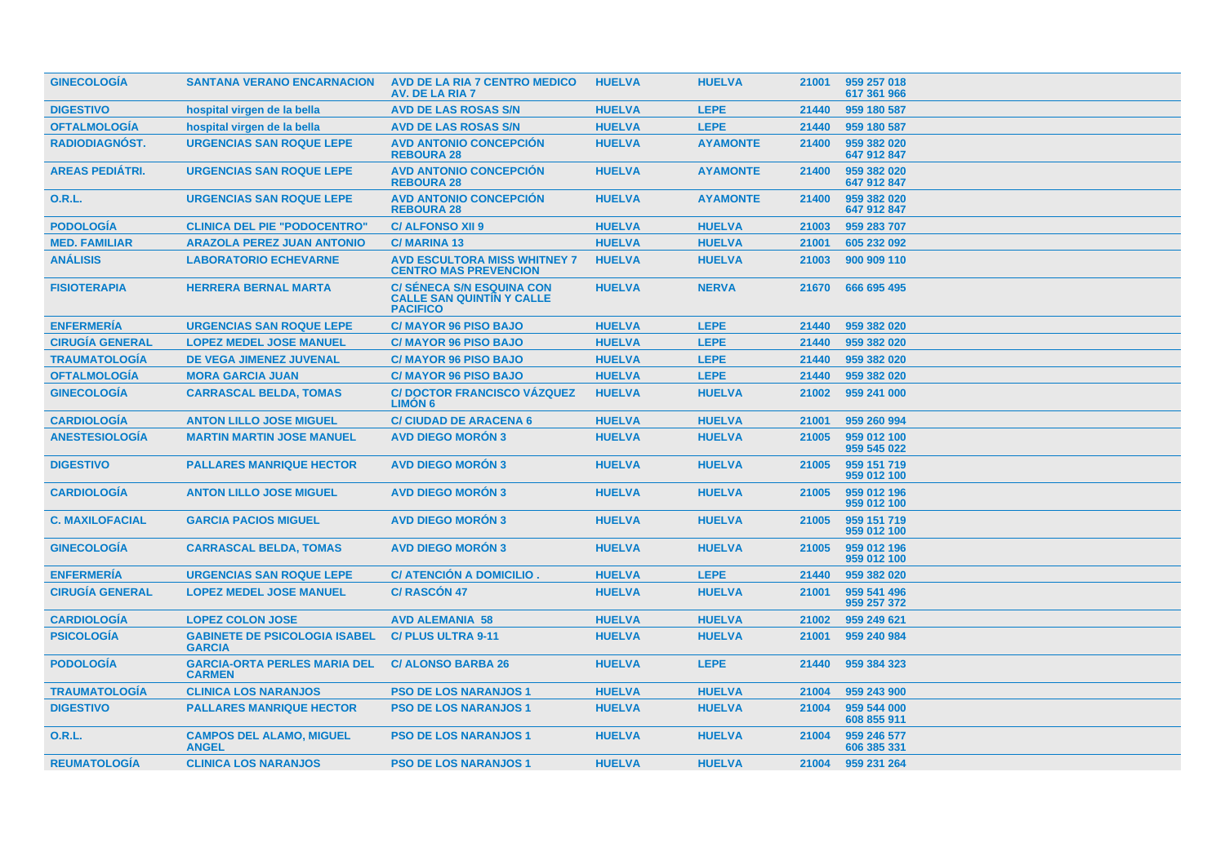| <b>GINECOLOGIA</b>     | <b>SANTANA VERANO ENCARNACION</b>                     | <b>AVD DE LA RIA 7 CENTRO MEDICO</b><br>AV. DE LA RIA 7                                 | <b>HUELVA</b> | <b>HUELVA</b>   | 21001 | 959 257 018<br>617 361 966 |
|------------------------|-------------------------------------------------------|-----------------------------------------------------------------------------------------|---------------|-----------------|-------|----------------------------|
| <b>DIGESTIVO</b>       | hospital virgen de la bella                           | <b>AVD DE LAS ROSAS S/N</b>                                                             | <b>HUELVA</b> | <b>LEPE</b>     | 21440 | 959 180 587                |
| <b>OFTALMOLOGIA</b>    | hospital virgen de la bella                           | <b>AVD DE LAS ROSAS S/N</b>                                                             | <b>HUELVA</b> | <b>LEPE</b>     | 21440 | 959 180 587                |
| <b>RADIODIAGNOST.</b>  | <b>URGENCIAS SAN ROQUE LEPE</b>                       | <b>AVD ANTONIO CONCEPCIÓN</b><br><b>REBOURA 28</b>                                      | <b>HUELVA</b> | <b>AYAMONTE</b> | 21400 | 959 382 020<br>647 912 847 |
| <b>AREAS PEDIÁTRI.</b> | <b>URGENCIAS SAN ROQUE LEPE</b>                       | <b>AVD ANTONIO CONCEPCION</b><br><b>REBOURA 28</b>                                      | <b>HUELVA</b> | <b>AYAMONTE</b> | 21400 | 959 382 020<br>647 912 847 |
| 0.R.L.                 | <b>URGENCIAS SAN ROQUE LEPE</b>                       | <b>AVD ANTONIO CONCEPCIÓN</b><br><b>REBOURA 28</b>                                      | <b>HUELVA</b> | <b>AYAMONTE</b> | 21400 | 959 382 020<br>647 912 847 |
| <b>PODOLOGÍA</b>       | <b>CLINICA DEL PIE "PODOCENTRO"</b>                   | <b>C/ ALFONSO XII 9</b>                                                                 | <b>HUELVA</b> | <b>HUELVA</b>   | 21003 | 959 283 707                |
| <b>MED. FAMILIAR</b>   | <b>ARAZOLA PEREZ JUAN ANTONIO</b>                     | <b>C/MARINA 13</b>                                                                      | <b>HUELVA</b> | <b>HUELVA</b>   | 21001 | 605 232 092                |
| <b>ANÁLISIS</b>        | <b>LABORATORIO ECHEVARNE</b>                          | <b>AVD ESCULTORA MISS WHITNEY 7</b><br><b>CENTRO MAS PREVENCION</b>                     | <b>HUELVA</b> | <b>HUELVA</b>   | 21003 | 900 909 110                |
| <b>FISIOTERAPIA</b>    | <b>HERRERA BERNAL MARTA</b>                           | <b>C/ SÉNECA S/N ESQUINA CON</b><br><b>CALLE SAN QUINTIN Y CALLE</b><br><b>PACIFICO</b> | <b>HUELVA</b> | <b>NERVA</b>    | 21670 | 666 695 495                |
| <b>ENFERMERÍA</b>      | <b>URGENCIAS SAN ROQUE LEPE</b>                       | <b>C/ MAYOR 96 PISO BAJO</b>                                                            | <b>HUELVA</b> | <b>LEPE</b>     | 21440 | 959 382 020                |
| <b>CIRUGÍA GENERAL</b> | <b>LOPEZ MEDEL JOSE MANUEL</b>                        | <b>C/MAYOR 96 PISO BAJO</b>                                                             | <b>HUELVA</b> | <b>LEPE</b>     | 21440 | 959 382 020                |
| <b>TRAUMATOLOGÍA</b>   | DE VEGA JIMENEZ JUVENAL                               | <b>C/MAYOR 96 PISO BAJO</b>                                                             | <b>HUELVA</b> | <b>LEPE</b>     | 21440 | 959 382 020                |
| <b>OFTALMOLOGÍA</b>    | <b>MORA GARCIA JUAN</b>                               | <b>C/MAYOR 96 PISO BAJO</b>                                                             | <b>HUELVA</b> | <b>LEPE</b>     | 21440 | 959 382 020                |
| <b>GINECOLOGÍA</b>     | <b>CARRASCAL BELDA, TOMAS</b>                         | <b>C/DOCTOR FRANCISCO VÁZQUEZ</b><br><b>LIMON 6</b>                                     | <b>HUELVA</b> | <b>HUELVA</b>   | 21002 | 959 241 000                |
| <b>CARDIOLOGIA</b>     | <b>ANTON LILLO JOSE MIGUEL</b>                        | <b>C/ CIUDAD DE ARACENA 6</b>                                                           | <b>HUELVA</b> | <b>HUELVA</b>   | 21001 | 959 260 994                |
| <b>ANESTESIOLOGÍA</b>  | <b>MARTIN MARTIN JOSE MANUEL</b>                      | <b>AVD DIEGO MORÓN 3</b>                                                                | <b>HUELVA</b> | <b>HUELVA</b>   | 21005 | 959 012 100<br>959 545 022 |
| <b>DIGESTIVO</b>       | <b>PALLARES MANRIQUE HECTOR</b>                       | <b>AVD DIEGO MORÓN 3</b>                                                                | <b>HUELVA</b> | <b>HUELVA</b>   | 21005 | 959 151 719<br>959 012 100 |
| <b>CARDIOLOGIA</b>     | <b>ANTON LILLO JOSE MIGUEL</b>                        | <b>AVD DIEGO MORÓN 3</b>                                                                | <b>HUELVA</b> | <b>HUELVA</b>   | 21005 | 959 012 196<br>959 012 100 |
| <b>C. MAXILOFACIAL</b> | <b>GARCIA PACIOS MIGUEL</b>                           | <b>AVD DIEGO MORON 3</b>                                                                | <b>HUELVA</b> | <b>HUELVA</b>   | 21005 | 959 151 719<br>959 012 100 |
| <b>GINECOLOGIA</b>     | <b>CARRASCAL BELDA, TOMAS</b>                         | <b>AVD DIEGO MORON 3</b>                                                                | <b>HUELVA</b> | <b>HUELVA</b>   | 21005 | 959 012 196<br>959 012 100 |
| <b>ENFERMERÍA</b>      | <b>URGENCIAS SAN ROQUE LEPE</b>                       | C/ ATENCIÓN A DOMICILIO.                                                                | <b>HUELVA</b> | <b>LEPE</b>     | 21440 | 959 382 020                |
| <b>CIRUGÍA GENERAL</b> | <b>LOPEZ MEDEL JOSE MANUEL</b>                        | <b>C/RASCÓN 47</b>                                                                      | <b>HUELVA</b> | <b>HUELVA</b>   | 21001 | 959 541 496<br>959 257 372 |
| <b>CARDIOLOGÍA</b>     | <b>LOPEZ COLON JOSE</b>                               | <b>AVD ALEMANIA 58</b>                                                                  | <b>HUELVA</b> | <b>HUELVA</b>   | 21002 | 959 249 621                |
| <b>PSICOLOGIA</b>      | <b>GABINETE DE PSICOLOGIA ISABEL</b><br><b>GARCIA</b> | <b>C/PLUS ULTRA 9-11</b>                                                                | <b>HUELVA</b> | <b>HUELVA</b>   | 21001 | 959 240 984                |
| <b>PODOLOGÍA</b>       | <b>GARCIA-ORTA PERLES MARIA DEL</b><br><b>CARMEN</b>  | <b>C/ ALONSO BARBA 26</b>                                                               | <b>HUELVA</b> | <b>LEPE</b>     | 21440 | 959 384 323                |
| <b>TRAUMATOLOGIA</b>   | <b>CLINICA LOS NARANJOS</b>                           | <b>PSO DE LOS NARANJOS 1</b>                                                            | <b>HUELVA</b> | <b>HUELVA</b>   | 21004 | 959 243 900                |
| <b>DIGESTIVO</b>       | <b>PALLARES MANRIQUE HECTOR</b>                       | <b>PSO DE LOS NARANJOS 1</b>                                                            | <b>HUELVA</b> | <b>HUELVA</b>   | 21004 | 959 544 000<br>608 855 911 |
| 0.R.L.                 | <b>CAMPOS DEL ALAMO, MIGUEL</b><br><b>ANGEL</b>       | <b>PSO DE LOS NARANJOS 1</b>                                                            | <b>HUELVA</b> | <b>HUELVA</b>   | 21004 | 959 246 577<br>606 385 331 |
| <b>REUMATOLOGÍA</b>    | <b>CLINICA LOS NARANJOS</b>                           | <b>PSO DE LOS NARANJOS 1</b>                                                            | <b>HUELVA</b> | <b>HUELVA</b>   | 21004 | 959 231 264                |
|                        |                                                       |                                                                                         |               |                 |       |                            |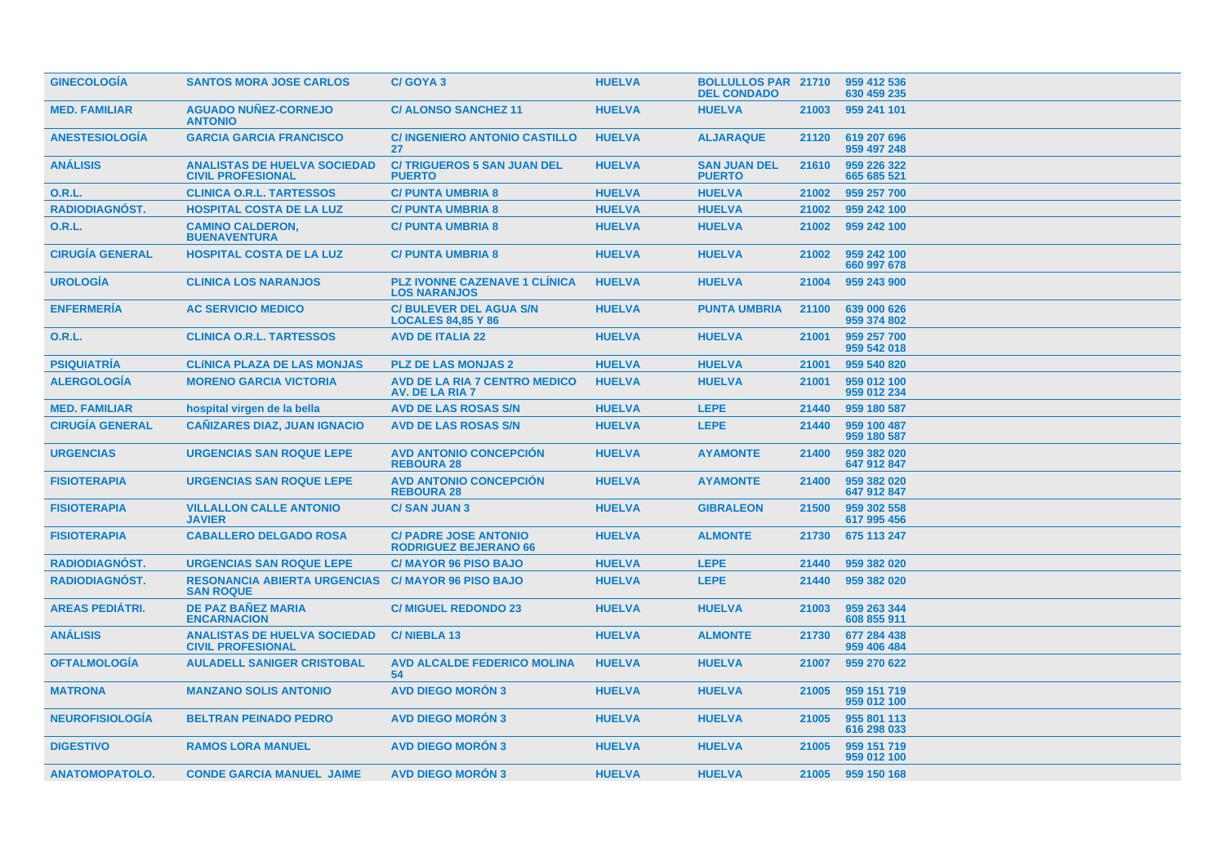| <b>GINECOLOGIA</b><br><b>MED. FAMILIAR</b><br><b>ANESTESIOLOGÍA</b><br><b>ANÁLISIS</b><br>0.R.L.<br>RADIODIAGNÓST.<br><b>O.R.L.</b><br><b>CIRUGIA GENERAL</b> | <b>SANTOS MORA JOSE CARLOS</b><br><b>AGUADO NUÑEZ-CORNEJO</b><br><b>ANTONIO</b><br><b>GARCIA GARCIA FRANCISCO</b><br><b>ANALISTAS DE HUELVA SOCIEDAD</b><br><b>CIVIL PROFESIONAL</b><br><b>CLINICA O.R.L. TARTESSOS</b><br><b>HOSPITAL COSTA DE LA LUZ</b><br><b>CAMINO CALDERON,</b><br><b>BUENAVENTURA</b><br><b>HOSPITAL COSTA DE LA LUZ</b><br><b>CLINICA LOS NARANJOS</b> | C/GOYA 3<br><b>C/ALONSO SANCHEZ 11</b><br><b>C/INGENIERO ANTONIO CASTILLO</b><br>27<br><b>C/TRIGUEROS 5 SAN JUAN DEL</b><br><b>PUERTO</b><br><b>C/PUNTA UMBRIA 8</b><br><b>C/PUNTA UMBRIA 8</b><br><b>C/PUNTA UMBRIA 8</b><br><b>C/ PUNTA UMBRIA 8</b><br><b>PLZ IVONNE CAZENAVE 1 CLINICA</b> | <b>HUELVA</b><br><b>HUELVA</b><br><b>HUELVA</b><br><b>HUELVA</b><br><b>HUELVA</b><br><b>HUELVA</b><br><b>HUELVA</b><br><b>HUELVA</b> | <b>BOLLULLOS PAR 21710</b><br><b>DEL CONDADO</b><br><b>HUELVA</b><br><b>ALJARAQUE</b><br><b>SAN JUAN DEL</b><br><b>PUERTO</b><br><b>HUELVA</b><br><b>HUELVA</b><br><b>HUELVA</b> | 21003<br>21120<br>21610<br>21002<br>21002<br>21002 | 959 412 536<br>630 459 235<br>959 241 101<br>619 207 696<br>959 497 248<br>959 226 322<br>665 685 521<br>959 257 700<br>959 242 100 |
|---------------------------------------------------------------------------------------------------------------------------------------------------------------|--------------------------------------------------------------------------------------------------------------------------------------------------------------------------------------------------------------------------------------------------------------------------------------------------------------------------------------------------------------------------------|------------------------------------------------------------------------------------------------------------------------------------------------------------------------------------------------------------------------------------------------------------------------------------------------|--------------------------------------------------------------------------------------------------------------------------------------|----------------------------------------------------------------------------------------------------------------------------------------------------------------------------------|----------------------------------------------------|-------------------------------------------------------------------------------------------------------------------------------------|
|                                                                                                                                                               |                                                                                                                                                                                                                                                                                                                                                                                |                                                                                                                                                                                                                                                                                                |                                                                                                                                      |                                                                                                                                                                                  |                                                    |                                                                                                                                     |
|                                                                                                                                                               |                                                                                                                                                                                                                                                                                                                                                                                |                                                                                                                                                                                                                                                                                                |                                                                                                                                      |                                                                                                                                                                                  |                                                    |                                                                                                                                     |
|                                                                                                                                                               |                                                                                                                                                                                                                                                                                                                                                                                |                                                                                                                                                                                                                                                                                                |                                                                                                                                      |                                                                                                                                                                                  |                                                    |                                                                                                                                     |
|                                                                                                                                                               |                                                                                                                                                                                                                                                                                                                                                                                |                                                                                                                                                                                                                                                                                                |                                                                                                                                      |                                                                                                                                                                                  |                                                    |                                                                                                                                     |
|                                                                                                                                                               |                                                                                                                                                                                                                                                                                                                                                                                |                                                                                                                                                                                                                                                                                                |                                                                                                                                      |                                                                                                                                                                                  |                                                    |                                                                                                                                     |
|                                                                                                                                                               |                                                                                                                                                                                                                                                                                                                                                                                |                                                                                                                                                                                                                                                                                                |                                                                                                                                      |                                                                                                                                                                                  |                                                    |                                                                                                                                     |
|                                                                                                                                                               |                                                                                                                                                                                                                                                                                                                                                                                |                                                                                                                                                                                                                                                                                                |                                                                                                                                      |                                                                                                                                                                                  |                                                    | 959 242 100                                                                                                                         |
|                                                                                                                                                               |                                                                                                                                                                                                                                                                                                                                                                                |                                                                                                                                                                                                                                                                                                |                                                                                                                                      | <b>HUELVA</b>                                                                                                                                                                    | 21002                                              | 959 242 100<br>660 997 678                                                                                                          |
| <b>UROLOGÍA</b>                                                                                                                                               |                                                                                                                                                                                                                                                                                                                                                                                | <b>LOS NARANJOS</b>                                                                                                                                                                                                                                                                            | <b>HUELVA</b>                                                                                                                        | <b>HUELVA</b>                                                                                                                                                                    | 21004                                              | 959 243 900                                                                                                                         |
| <b>ENFERMERÍA</b>                                                                                                                                             | <b>AC SERVICIO MEDICO</b>                                                                                                                                                                                                                                                                                                                                                      | <b>C/ BULEVER DEL AGUA S/N</b><br><b>LOCALES 84.85 Y 86</b>                                                                                                                                                                                                                                    | <b>HUELVA</b>                                                                                                                        | <b>PUNTA UMBRIA</b>                                                                                                                                                              | 21100                                              | 639 000 626<br>959 374 802                                                                                                          |
| 0.R.L.                                                                                                                                                        | <b>CLINICA O.R.L. TARTESSOS</b>                                                                                                                                                                                                                                                                                                                                                | <b>AVD DE ITALIA 22</b>                                                                                                                                                                                                                                                                        | <b>HUELVA</b>                                                                                                                        | <b>HUELVA</b>                                                                                                                                                                    | 21001                                              | 959 257 700<br>959 542 018                                                                                                          |
| <b>PSIQUIATRIA</b>                                                                                                                                            | <b>CLÍNICA PLAZA DE LAS MONJAS</b>                                                                                                                                                                                                                                                                                                                                             | <b>PLZ DE LAS MONJAS 2</b>                                                                                                                                                                                                                                                                     | <b>HUELVA</b>                                                                                                                        | <b>HUELVA</b>                                                                                                                                                                    | 21001                                              | 959 540 820                                                                                                                         |
| <b>ALERGOLOGIA</b>                                                                                                                                            | <b>MORENO GARCIA VICTORIA</b>                                                                                                                                                                                                                                                                                                                                                  | <b>AVD DE LA RIA 7 CENTRO MEDICO</b><br>AV. DE LA RIA 7                                                                                                                                                                                                                                        | <b>HUELVA</b>                                                                                                                        | <b>HUELVA</b>                                                                                                                                                                    | 21001                                              | 959 012 100<br>959 012 234                                                                                                          |
| <b>MED. FAMILIAR</b>                                                                                                                                          | hospital virgen de la bella                                                                                                                                                                                                                                                                                                                                                    | <b>AVD DE LAS ROSAS S/N</b>                                                                                                                                                                                                                                                                    | <b>HUELVA</b>                                                                                                                        | <b>LEPE</b>                                                                                                                                                                      | 21440                                              | 959 180 587                                                                                                                         |
| <b>CIRUGÍA GENERAL</b>                                                                                                                                        | <b>CANIZARES DIAZ, JUAN IGNACIO</b>                                                                                                                                                                                                                                                                                                                                            | AVD DE LAS ROSAS S/N                                                                                                                                                                                                                                                                           | <b>HUELVA</b>                                                                                                                        | <b>LEPE</b>                                                                                                                                                                      | 21440                                              | 959 100 487<br>959 180 587                                                                                                          |
| <b>URGENCIAS</b>                                                                                                                                              | <b>URGENCIAS SAN ROQUE LEPE</b>                                                                                                                                                                                                                                                                                                                                                | <b>AVD ANTONIO CONCEPCIÓN</b><br><b>REBOURA 28</b>                                                                                                                                                                                                                                             | <b>HUELVA</b>                                                                                                                        | <b>AYAMONTE</b>                                                                                                                                                                  | 21400                                              | 959 382 020<br>647 912 847                                                                                                          |
| <b>FISIOTERAPIA</b>                                                                                                                                           | <b>URGENCIAS SAN ROQUE LEPE</b>                                                                                                                                                                                                                                                                                                                                                | <b>AVD ANTONIO CONCEPCIÓN</b><br><b>REBOURA 28</b>                                                                                                                                                                                                                                             | <b>HUELVA</b>                                                                                                                        | <b>AYAMONTE</b>                                                                                                                                                                  | 21400                                              | 959 382 020<br>647 912 847                                                                                                          |
| <b>FISIOTERAPIA</b>                                                                                                                                           | <b>VILLALLON CALLE ANTONIO</b><br><b>JAVIER</b>                                                                                                                                                                                                                                                                                                                                | <b>C/SAN JUAN 3</b>                                                                                                                                                                                                                                                                            | <b>HUELVA</b>                                                                                                                        | <b>GIBRALEON</b>                                                                                                                                                                 | 21500                                              | 959 302 558<br>617 995 456                                                                                                          |
| <b>FISIOTERAPIA</b>                                                                                                                                           | <b>CABALLERO DELGADO ROSA</b>                                                                                                                                                                                                                                                                                                                                                  | <b>C/ PADRE JOSE ANTONIO</b><br><b>RODRIGUEZ BEJERANO 66</b>                                                                                                                                                                                                                                   | <b>HUELVA</b>                                                                                                                        | <b>ALMONTE</b>                                                                                                                                                                   | 21730                                              | 675 113 247                                                                                                                         |
| RADIODIAGNÓST.                                                                                                                                                | <b>URGENCIAS SAN ROQUE LEPE</b>                                                                                                                                                                                                                                                                                                                                                | <b>C/MAYOR 96 PISO BAJO</b>                                                                                                                                                                                                                                                                    | <b>HUELVA</b>                                                                                                                        | <b>LEPE</b>                                                                                                                                                                      | 21440                                              | 959 382 020                                                                                                                         |
| <b>RADIODIAGNÓST.</b>                                                                                                                                         | <b>RESONANCIA ABIERTA URGENCIAS</b><br><b>SAN ROQUE</b>                                                                                                                                                                                                                                                                                                                        | <b>C/MAYOR 96 PISO BAJO</b>                                                                                                                                                                                                                                                                    | <b>HUELVA</b>                                                                                                                        | <b>LEPE</b>                                                                                                                                                                      | 21440                                              | 959 382 020                                                                                                                         |
| <b>AREAS PEDIÁTRI.</b>                                                                                                                                        | <b>DE PAZ BAÑEZ MARIA</b><br><b>ENCARNACION</b>                                                                                                                                                                                                                                                                                                                                | <b>C/ MIGUEL REDONDO 23</b>                                                                                                                                                                                                                                                                    | <b>HUELVA</b>                                                                                                                        | <b>HUELVA</b>                                                                                                                                                                    | 21003                                              | 959 263 344<br>608 855 911                                                                                                          |
| <b>ANÁLISIS</b>                                                                                                                                               | <b>ANALISTAS DE HUELVA SOCIEDAD</b><br><b>CIVIL PROFESIONAL</b>                                                                                                                                                                                                                                                                                                                | C/NIEBLA 13                                                                                                                                                                                                                                                                                    | <b>HUELVA</b>                                                                                                                        | <b>ALMONTE</b>                                                                                                                                                                   | 21730                                              | 677 284 438<br>959 406 484                                                                                                          |
| <b>OFTALMOLOGIA</b>                                                                                                                                           | <b>AULADELL SANIGER CRISTOBAL</b>                                                                                                                                                                                                                                                                                                                                              | <b>AVD ALCALDE FEDERICO MOLINA</b><br>54                                                                                                                                                                                                                                                       | <b>HUELVA</b>                                                                                                                        | <b>HUELVA</b>                                                                                                                                                                    | 21007                                              | 959 270 622                                                                                                                         |
| <b>MATRONA</b>                                                                                                                                                | <b>MANZANO SOLIS ANTONIO</b>                                                                                                                                                                                                                                                                                                                                                   | <b>AVD DIEGO MORON 3</b>                                                                                                                                                                                                                                                                       | <b>HUELVA</b>                                                                                                                        | <b>HUELVA</b>                                                                                                                                                                    | 21005                                              | 959 151 719<br>959 012 100                                                                                                          |
| <b>NEUROFISIOLOGÍA</b>                                                                                                                                        | <b>BELTRAN PEINADO PEDRO</b>                                                                                                                                                                                                                                                                                                                                                   | <b>AVD DIEGO MORÓN 3</b>                                                                                                                                                                                                                                                                       | <b>HUELVA</b>                                                                                                                        | <b>HUELVA</b>                                                                                                                                                                    | 21005                                              | 955 801 113<br>616 298 033                                                                                                          |
| <b>DIGESTIVO</b>                                                                                                                                              | <b>RAMOS LORA MANUEL</b>                                                                                                                                                                                                                                                                                                                                                       | <b>AVD DIEGO MORON 3</b>                                                                                                                                                                                                                                                                       | <b>HUELVA</b>                                                                                                                        | <b>HUELVA</b>                                                                                                                                                                    | 21005                                              | 959 151 719<br>959 012 100                                                                                                          |
| <b>ANATOMOPATOLO.</b>                                                                                                                                         | <b>CONDE GARCIA MANUEL JAIME</b>                                                                                                                                                                                                                                                                                                                                               | <b>AVD DIEGO MORON 3</b>                                                                                                                                                                                                                                                                       | <b>HUELVA</b>                                                                                                                        | <b>HUELVA</b>                                                                                                                                                                    |                                                    | 21005 959 150 168                                                                                                                   |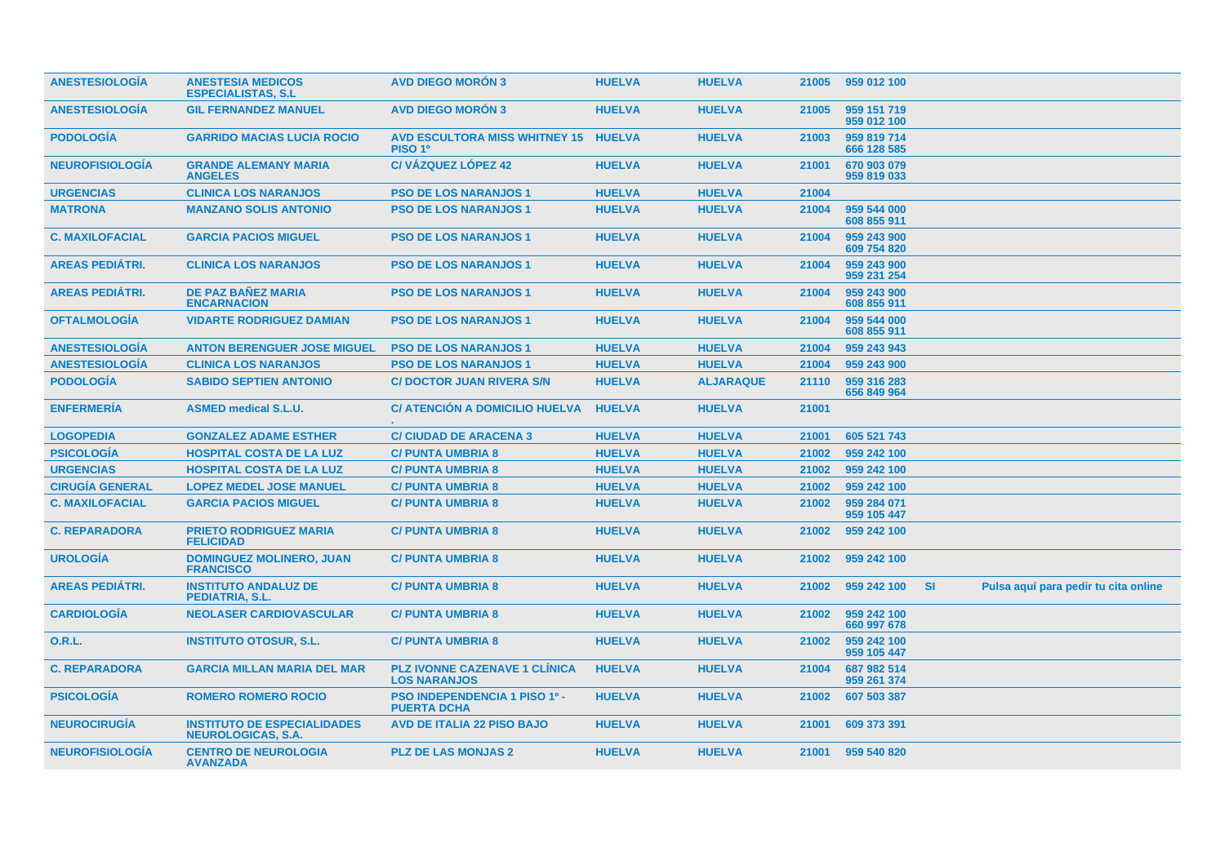| <b>ANESTESIOLOGÍA</b>  | <b>ANESTESIA MEDICOS</b><br><b>ESPECIALISTAS, S.L.</b>          | <b>AVD DIEGO MORÓN 3</b>                                    | <b>HUELVA</b> | <b>HUELVA</b>    | 21005 | 959 012 100                |           |                                      |  |
|------------------------|-----------------------------------------------------------------|-------------------------------------------------------------|---------------|------------------|-------|----------------------------|-----------|--------------------------------------|--|
| <b>ANESTESIOLOGIA</b>  | <b>GIL FERNANDEZ MANUEL</b>                                     | <b>AVD DIEGO MORON 3</b>                                    | <b>HUELVA</b> | <b>HUELVA</b>    | 21005 | 959 151 719<br>959 012 100 |           |                                      |  |
| <b>PODOLOGIA</b>       | <b>GARRIDO MACIAS LUCIA ROCIO</b>                               | AVD ESCULTORA MISS WHITNEY 15 HUELVA<br>PISO 1 <sup>0</sup> |               | <b>HUELVA</b>    | 21003 | 959 819 714<br>666 128 585 |           |                                      |  |
| <b>NEUROFISIOLOGIA</b> | <b>GRANDE ALEMANY MARIA</b><br><b>ANGELES</b>                   | <b>C/VÁZQUEZ LÓPEZ 42</b>                                   | <b>HUELVA</b> | <b>HUELVA</b>    | 21001 | 670 903 079<br>959 819 033 |           |                                      |  |
| <b>URGENCIAS</b>       | <b>CLINICA LOS NARANJOS</b>                                     | <b>PSO DE LOS NARANJOS 1</b>                                | <b>HUELVA</b> | <b>HUELVA</b>    | 21004 |                            |           |                                      |  |
| <b>MATRONA</b>         | <b>MANZANO SOLIS ANTONIO</b>                                    | <b>PSO DE LOS NARANJOS 1</b>                                | <b>HUELVA</b> | <b>HUELVA</b>    | 21004 | 959 544 000<br>608 855 911 |           |                                      |  |
| <b>C. MAXILOFACIAL</b> | <b>GARCIA PACIOS MIGUEL</b>                                     | <b>PSO DE LOS NARANJOS 1</b>                                | <b>HUELVA</b> | <b>HUELVA</b>    | 21004 | 959 243 900<br>609 754 820 |           |                                      |  |
| <b>AREAS PEDIÁTRI.</b> | <b>CLINICA LOS NARANJOS</b>                                     | <b>PSO DE LOS NARANJOS 1</b>                                | <b>HUELVA</b> | <b>HUELVA</b>    | 21004 | 959 243 900<br>959 231 254 |           |                                      |  |
| <b>AREAS PEDIÁTRI.</b> | <b>DE PAZ BAÑEZ MARIA</b><br><b>ENCARNACION</b>                 | <b>PSO DE LOS NARANJOS 1</b>                                | <b>HUELVA</b> | <b>HUELVA</b>    | 21004 | 959 243 900<br>608 855 911 |           |                                      |  |
| <b>OFTALMOLOGÍA</b>    | <b>VIDARTE RODRIGUEZ DAMIAN</b>                                 | <b>PSO DE LOS NARANJOS 1</b>                                | <b>HUELVA</b> | <b>HUELVA</b>    | 21004 | 959 544 000<br>608 855 911 |           |                                      |  |
| <b>ANESTESIOLOGIA</b>  | <b>ANTON BERENGUER JOSE MIGUEL</b>                              | <b>PSO DE LOS NARANJOS 1</b>                                | <b>HUELVA</b> | <b>HUELVA</b>    | 21004 | 959 243 943                |           |                                      |  |
| <b>ANESTESIOLOGÍA</b>  | <b>CLINICA LOS NARANJOS</b>                                     | <b>PSO DE LOS NARANJOS 1</b>                                | <b>HUELVA</b> | <b>HUELVA</b>    | 21004 | 959 243 900                |           |                                      |  |
| <b>PODOLOGÍA</b>       | <b>SABIDO SEPTIEN ANTONIO</b>                                   | <b>C/DOCTOR JUAN RIVERA S/N</b>                             | <b>HUELVA</b> | <b>ALJARAQUE</b> | 21110 | 959 316 283<br>656 849 964 |           |                                      |  |
| <b>ENFERMERÍA</b>      | <b>ASMED medical S.L.U.</b>                                     | C/ ATENCIÓN A DOMICILIO HUELVA                              | <b>HUELVA</b> | <b>HUELVA</b>    | 21001 |                            |           |                                      |  |
| <b>LOGOPEDIA</b>       | <b>GONZALEZ ADAME ESTHER</b>                                    | <b>C/ CIUDAD DE ARACENA 3</b>                               | <b>HUELVA</b> | <b>HUELVA</b>    | 21001 | 605 521 743                |           |                                      |  |
| <b>PSICOLOGÍA</b>      | <b>HOSPITAL COSTA DE LA LUZ</b>                                 | <b>C/PUNTA UMBRIA 8</b>                                     | <b>HUELVA</b> | <b>HUELVA</b>    | 21002 | 959 242 100                |           |                                      |  |
| <b>URGENCIAS</b>       | <b>HOSPITAL COSTA DE LA LUZ</b>                                 | <b>C/PUNTA UMBRIA 8</b>                                     | <b>HUELVA</b> | <b>HUELVA</b>    | 21002 | 959 242 100                |           |                                      |  |
| <b>CIRUGÍA GENERAL</b> | <b>LOPEZ MEDEL JOSE MANUEL</b>                                  | <b>C/PUNTA UMBRIA 8</b>                                     | <b>HUELVA</b> | <b>HUELVA</b>    | 21002 | 959 242 100                |           |                                      |  |
| <b>C. MAXILOFACIAL</b> | <b>GARCIA PACIOS MIGUEL</b>                                     | <b>C/ PUNTA UMBRIA 8</b>                                    | <b>HUELVA</b> | <b>HUELVA</b>    | 21002 | 959 284 071<br>959 105 447 |           |                                      |  |
| <b>C. REPARADORA</b>   | <b>PRIETO RODRIGUEZ MARIA</b><br><b>FELICIDAD</b>               | <b>C/PUNTA UMBRIA 8</b>                                     | <b>HUELVA</b> | <b>HUELVA</b>    | 21002 | 959 242 100                |           |                                      |  |
| <b>UROLOGÍA</b>        | <b>DOMINGUEZ MOLINERO, JUAN</b><br><b>FRANCISCO</b>             | <b>C/ PUNTA UMBRIA 8</b>                                    | <b>HUELVA</b> | <b>HUELVA</b>    | 21002 | 959 242 100                |           |                                      |  |
| <b>AREAS PEDIATRI.</b> | <b>INSTITUTO ANDALUZ DE</b><br><b>PEDIATRIA, S.L.</b>           | <b>C/PUNTA UMBRIA 8</b>                                     | <b>HUELVA</b> | <b>HUELVA</b>    | 21002 | 959 242 100                | <b>SI</b> | Pulsa aquí para pedir tu cita online |  |
| <b>CARDIOLOGIA</b>     | <b>NEOLASER CARDIOVASCULAR</b>                                  | <b>C/PUNTA UMBRIA 8</b>                                     | <b>HUELVA</b> | <b>HUELVA</b>    | 21002 | 959 242 100<br>660 997 678 |           |                                      |  |
| 0.R.L.                 | <b>INSTITUTO OTOSUR, S.L.</b>                                   | <b>C/PUNTA UMBRIA 8</b>                                     | <b>HUELVA</b> | <b>HUELVA</b>    | 21002 | 959 242 100<br>959 105 447 |           |                                      |  |
| <b>C. REPARADORA</b>   | <b>GARCIA MILLAN MARIA DEL MAR</b>                              | <b>PLZ IVONNE CAZENAVE 1 CLINICA</b><br><b>LOS NARANJOS</b> | <b>HUELVA</b> | <b>HUELVA</b>    | 21004 | 687 982 514<br>959 261 374 |           |                                      |  |
| <b>PSICOLOGÍA</b>      | <b>ROMERO ROMERO ROCIO</b>                                      | <b>PSO INDEPENDENCIA 1 PISO 1º -</b><br><b>PUERTA DCHA</b>  | <b>HUELVA</b> | <b>HUELVA</b>    | 21002 | 607 503 387                |           |                                      |  |
| <b>NEUROCIRUGÍA</b>    | <b>INSTITUTO DE ESPECIALIDADES</b><br><b>NEUROLOGICAS, S.A.</b> | <b>AVD DE ITALIA 22 PISO BAJO</b>                           | <b>HUELVA</b> | <b>HUELVA</b>    | 21001 | 609 373 391                |           |                                      |  |
| <b>NEUROFISIOLOGÍA</b> | <b>CENTRO DE NEUROLOGIA</b><br><b>AVANZADA</b>                  | <b>PLZ DE LAS MONJAS 2</b>                                  | <b>HUELVA</b> | <b>HUELVA</b>    | 21001 | 959 540 820                |           |                                      |  |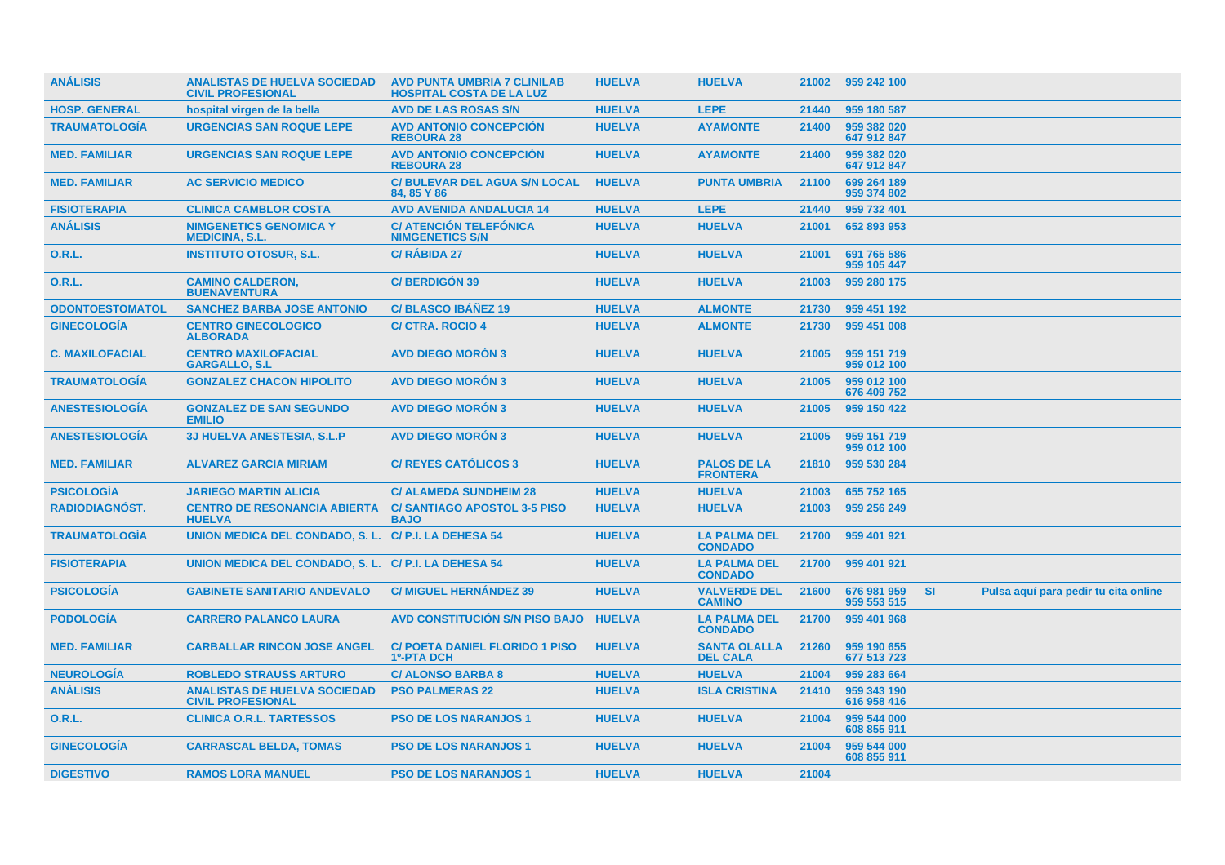| <b>ANÁLISIS</b>        | <b>ANALISTAS DE HUELVA SOCIEDAD</b><br><b>CIVIL PROFESIONAL</b> | <b>AVD PUNTA UMBRIA 7 CLINILAB</b><br><b>HOSPITAL COSTA DE LA LUZ</b> | <b>HUELVA</b> | <b>HUELVA</b>                          | 21002 | 959 242 100                |           |                                      |  |
|------------------------|-----------------------------------------------------------------|-----------------------------------------------------------------------|---------------|----------------------------------------|-------|----------------------------|-----------|--------------------------------------|--|
| <b>HOSP. GENERAL</b>   | hospital virgen de la bella                                     | <b>AVD DE LAS ROSAS S/N</b>                                           | <b>HUELVA</b> | <b>LEPE</b>                            | 21440 | 959 180 587                |           |                                      |  |
| <b>TRAUMATOLOGÍA</b>   | <b>URGENCIAS SAN ROQUE LEPE</b>                                 | <b>AVD ANTONIO CONCEPCIÓN</b><br><b>REBOURA 28</b>                    | <b>HUELVA</b> | <b>AYAMONTE</b>                        | 21400 | 959 382 020<br>647 912 847 |           |                                      |  |
| <b>MED. FAMILIAR</b>   | <b>URGENCIAS SAN ROQUE LEPE</b>                                 | <b>AVD ANTONIO CONCEPCION</b><br><b>REBOURA 28</b>                    | <b>HUELVA</b> | <b>AYAMONTE</b>                        | 21400 | 959 382 020<br>647 912 847 |           |                                      |  |
| <b>MED. FAMILIAR</b>   | <b>AC SERVICIO MEDICO</b>                                       | <b>C/BULEVAR DEL AGUA S/N LOCAL</b><br>84, 85 Y 86                    | <b>HUELVA</b> | <b>PUNTA UMBRIA</b>                    | 21100 | 699 264 189<br>959 374 802 |           |                                      |  |
| <b>FISIOTERAPIA</b>    | <b>CLINICA CAMBLOR COSTA</b>                                    | <b>AVD AVENIDA ANDALUCIA 14</b>                                       | <b>HUELVA</b> | <b>LEPE</b>                            | 21440 | 959 732 401                |           |                                      |  |
| <b>ANÁLISIS</b>        | <b>NIMGENETICS GENOMICA Y</b><br><b>MEDICINA, S.L.</b>          | <b>C/ ATENCIÓN TELEFÓNICA</b><br><b>NIMGENETICS S/N</b>               | <b>HUELVA</b> | <b>HUELVA</b>                          | 21001 | 652 893 953                |           |                                      |  |
| 0.R.L.                 | <b>INSTITUTO OTOSUR, S.L.</b>                                   | <b>C/ RABIDA 27</b>                                                   | <b>HUELVA</b> | <b>HUELVA</b>                          | 21001 | 691 765 586<br>959 105 447 |           |                                      |  |
| 0.R.L.                 | <b>CAMINO CALDERON,</b><br><b>BUENAVENTURA</b>                  | <b>C/BERDIGÓN 39</b>                                                  | <b>HUELVA</b> | <b>HUELVA</b>                          | 21003 | 959 280 175                |           |                                      |  |
| <b>ODONTOESTOMATOL</b> | <b>SANCHEZ BARBA JOSE ANTONIO</b>                               | <b>C/BLASCO IBANEZ 19</b>                                             | <b>HUELVA</b> | <b>ALMONTE</b>                         | 21730 | 959 451 192                |           |                                      |  |
| <b>GINECOLOGÍA</b>     | <b>CENTRO GINECOLOGICO</b><br><b>ALBORADA</b>                   | <b>C/ CTRA. ROCIO 4</b>                                               | <b>HUELVA</b> | <b>ALMONTE</b>                         | 21730 | 959 451 008                |           |                                      |  |
| <b>C. MAXILOFACIAL</b> | <b>CENTRO MAXILOFACIAL</b><br><b>GARGALLO, S.L</b>              | <b>AVD DIEGO MORON 3</b>                                              | <b>HUELVA</b> | <b>HUELVA</b>                          | 21005 | 959 151 719<br>959 012 100 |           |                                      |  |
| <b>TRAUMATOLOGÍA</b>   | <b>GONZALEZ CHACON HIPOLITO</b>                                 | <b>AVD DIEGO MORÓN 3</b>                                              | <b>HUELVA</b> | <b>HUELVA</b>                          | 21005 | 959 012 100<br>676 409 752 |           |                                      |  |
| <b>ANESTESIOLOGIA</b>  | <b>GONZALEZ DE SAN SEGUNDO</b><br><b>EMILIO</b>                 | <b>AVD DIEGO MORON 3</b>                                              | <b>HUELVA</b> | <b>HUELVA</b>                          | 21005 | 959 150 422                |           |                                      |  |
| <b>ANESTESIOLOGÍA</b>  | <b>3J HUELVA ANESTESIA, S.L.P</b>                               | <b>AVD DIEGO MORÓN 3</b>                                              | <b>HUELVA</b> | <b>HUELVA</b>                          | 21005 | 959 151 719<br>959 012 100 |           |                                      |  |
| <b>MED. FAMILIAR</b>   | <b>ALVAREZ GARCIA MIRIAM</b>                                    | <b>C/ REYES CATOLICOS 3</b>                                           | <b>HUELVA</b> | <b>PALOS DE LA</b><br><b>FRONTERA</b>  | 21810 | 959 530 284                |           |                                      |  |
| <b>PSICOLOGIA</b>      | <b>JARIEGO MARTIN ALICIA</b>                                    | <b>C/ ALAMEDA SUNDHEIM 28</b>                                         | <b>HUELVA</b> | <b>HUELVA</b>                          | 21003 | 655 752 165                |           |                                      |  |
| <b>RADIODIAGNÓST.</b>  | <b>CENTRO DE RESONANCIA ABIERTA</b><br><b>HUELVA</b>            | <b>C/SANTIAGO APOSTOL 3-5 PISO</b><br><b>BAJO</b>                     | <b>HUELVA</b> | <b>HUELVA</b>                          | 21003 | 959 256 249                |           |                                      |  |
| <b>TRAUMATOLOGÍA</b>   | UNION MEDICA DEL CONDADO, S. L.                                 | C/P.I. LA DEHESA 54                                                   | <b>HUELVA</b> | <b>LA PALMA DEL</b><br><b>CONDADO</b>  | 21700 | 959 401 921                |           |                                      |  |
| <b>FISIOTERAPIA</b>    | UNION MEDICA DEL CONDADO, S. L. C/ P.I. LA DEHESA 54            |                                                                       | <b>HUELVA</b> | <b>LA PALMA DEL</b><br><b>CONDADO</b>  | 21700 | 959 401 921                |           |                                      |  |
| <b>PSICOLOGÍA</b>      | <b>GABINETE SANITARIO ANDEVALO</b>                              | <b>C/ MIGUEL HERNANDEZ 39</b>                                         | <b>HUELVA</b> | <b>VALVERDE DEL</b><br><b>CAMINO</b>   | 21600 | 676 981 959<br>959 553 515 | <b>SI</b> | Pulsa aquí para pedir tu cita online |  |
| <b>PODOLOGIA</b>       | <b>CARRERO PALANCO LAURA</b>                                    | <b>AVD CONSTITUCIÓN S/N PISO BAJO</b>                                 | <b>HUELVA</b> | <b>LA PALMA DEL</b><br><b>CONDADO</b>  | 21700 | 959 401 968                |           |                                      |  |
| <b>MED. FAMILIAR</b>   | <b>CARBALLAR RINCON JOSE ANGEL</b>                              | <b>C/ POETA DANIEL FLORIDO 1 PISO</b><br><b>1º-PTA DCH</b>            | <b>HUELVA</b> | <b>SANTA OLALLA</b><br><b>DEL CALA</b> | 21260 | 959 190 655<br>677 513 723 |           |                                      |  |
| <b>NEUROLOGIA</b>      | <b>ROBLEDO STRAUSS ARTURO</b>                                   | <b>C/ALONSO BARBA 8</b>                                               | <b>HUELVA</b> | <b>HUELVA</b>                          | 21004 | 959 283 664                |           |                                      |  |
| <b>ANÁLISIS</b>        | <b>ANALISTAS DE HUELVA SOCIEDAD</b><br><b>CIVIL PROFESIONAL</b> | <b>PSO PALMERAS 22</b>                                                | <b>HUELVA</b> | <b>ISLA CRISTINA</b>                   | 21410 | 959 343 190<br>616 958 416 |           |                                      |  |
| <b>O.R.L.</b>          | <b>CLINICA O.R.L. TARTESSOS</b>                                 | <b>PSO DE LOS NARANJOS 1</b>                                          | <b>HUELVA</b> | <b>HUELVA</b>                          | 21004 | 959 544 000<br>608 855 911 |           |                                      |  |
| <b>GINECOLOGIA</b>     | <b>CARRASCAL BELDA, TOMAS</b>                                   | <b>PSO DE LOS NARANJOS 1</b>                                          | <b>HUELVA</b> | <b>HUELVA</b>                          | 21004 | 959 544 000<br>608 855 911 |           |                                      |  |
| <b>DIGESTIVO</b>       | <b>RAMOS LORA MANUEL</b>                                        | <b>PSO DE LOS NARANJOS 1</b>                                          | <b>HUELVA</b> | <b>HUELVA</b>                          | 21004 |                            |           |                                      |  |